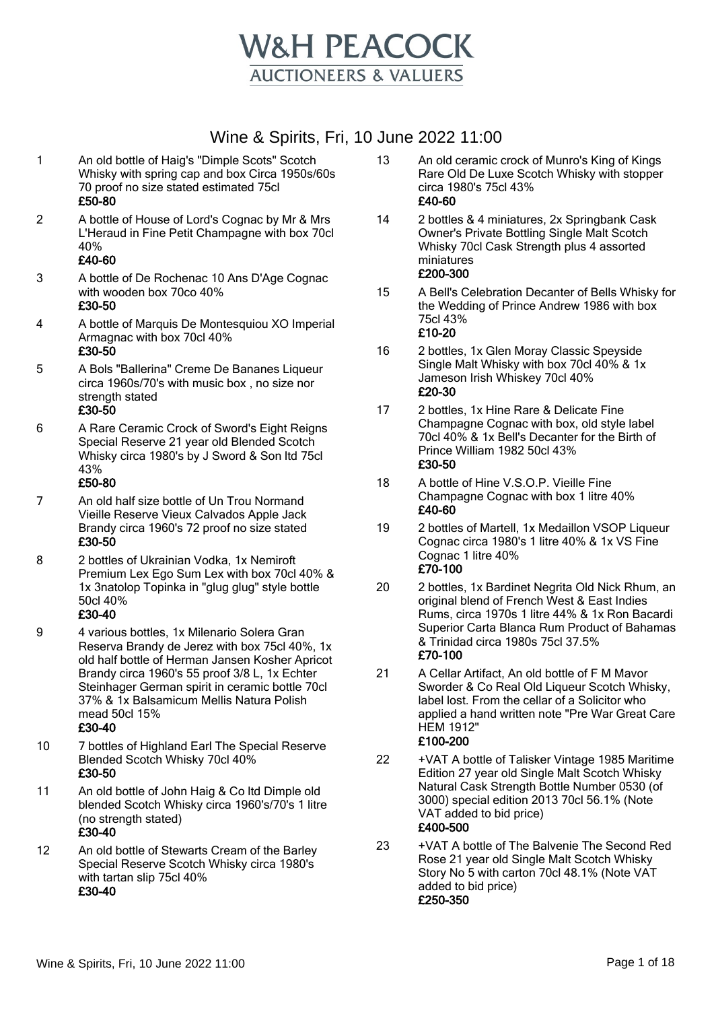

- 1 An old bottle of Haig's "Dimple Scots" Scotch Whisky with spring cap and box Circa 1950s/60s 70 proof no size stated estimated 75cl £50-80
- 2 A bottle of House of Lord's Cognac by Mr & Mrs L'Heraud in Fine Petit Champagne with box 70cl 40%

#### £40-60

- 3 A bottle of De Rochenac 10 Ans D'Age Cognac with wooden box 70co 40% £30-50
- 4 A bottle of Marquis De Montesquiou XO Imperial Armagnac with box 70cl 40% £30-50
- 5 A Bols "Ballerina" Creme De Bananes Liqueur circa 1960s/70's with music box , no size nor strength stated £30-50
- 6 A Rare Ceramic Crock of Sword's Eight Reigns Special Reserve 21 year old Blended Scotch Whisky circa 1980's by J Sword & Son ltd 75cl 43%

#### £50-80

- 7 An old half size bottle of Un Trou Normand Vieille Reserve Vieux Calvados Apple Jack Brandy circa 1960's 72 proof no size stated £30-50
- 8 2 bottles of Ukrainian Vodka, 1x Nemiroft Premium Lex Ego Sum Lex with box 70cl 40% & 1x 3natolop Topinka in "glug glug" style bottle 50cl 40%

#### £30-40

9 4 various bottles, 1x Milenario Solera Gran Reserva Brandy de Jerez with box 75cl 40%, 1x old half bottle of Herman Jansen Kosher Apricot Brandy circa 1960's 55 proof 3/8 L, 1x Echter Steinhager German spirit in ceramic bottle 70cl 37% & 1x Balsamicum Mellis Natura Polish mead 50cl 15%

- 10 7 bottles of Highland Earl The Special Reserve Blended Scotch Whisky 70cl 40% £30-50
- 11 An old bottle of John Haig & Co ltd Dimple old blended Scotch Whisky circa 1960's/70's 1 litre (no strength stated) £30-40
- 12 An old bottle of Stewarts Cream of the Barley Special Reserve Scotch Whisky circa 1980's with tartan slip 75cl 40% £30-40
- 13 An old ceramic crock of Munro's King of Kings Rare Old De Luxe Scotch Whisky with stopper circa 1980's 75cl 43% £40-60
- 14 2 bottles & 4 miniatures, 2x Springbank Cask Owner's Private Bottling Single Malt Scotch Whisky 70cl Cask Strength plus 4 assorted miniatures £200-300
- 15 A Bell's Celebration Decanter of Bells Whisky for the Wedding of Prince Andrew 1986 with box 75cl 43% £10-20
- 16 2 bottles, 1x Glen Moray Classic Speyside Single Malt Whisky with box 70cl 40% & 1x Jameson Irish Whiskey 70cl 40% £20-30
- 17 2 bottles, 1x Hine Rare & Delicate Fine Champagne Cognac with box, old style label 70cl 40% & 1x Bell's Decanter for the Birth of Prince William 1982 50cl 43% £30-50
- 18 A bottle of Hine V.S.O.P. Vieille Fine Champagne Cognac with box 1 litre 40% £40-60
- 19 2 bottles of Martell, 1x Medaillon VSOP Liqueur Cognac circa 1980's 1 litre 40% & 1x VS Fine Cognac 1 litre 40% £70-100
- 20 2 bottles, 1x Bardinet Negrita Old Nick Rhum, an original blend of French West & East Indies Rums, circa 1970s 1 litre 44% & 1x Ron Bacardi Superior Carta Blanca Rum Product of Bahamas & Trinidad circa 1980s 75cl 37.5% £70-100
- 21 A Cellar Artifact, An old bottle of F M Mavor Sworder & Co Real Old Liqueur Scotch Whisky, label lost. From the cellar of a Solicitor who applied a hand written note "Pre War Great Care HEM 1912" £100-200
- 22 +VAT A bottle of Talisker Vintage 1985 Maritime Edition 27 year old Single Malt Scotch Whisky Natural Cask Strength Bottle Number 0530 (of 3000) special edition 2013 70cl 56.1% (Note VAT added to bid price) £400-500
- 23 +VAT A bottle of The Balvenie The Second Red Rose 21 year old Single Malt Scotch Whisky Story No 5 with carton 70cl 48.1% (Note VAT added to bid price) £250-350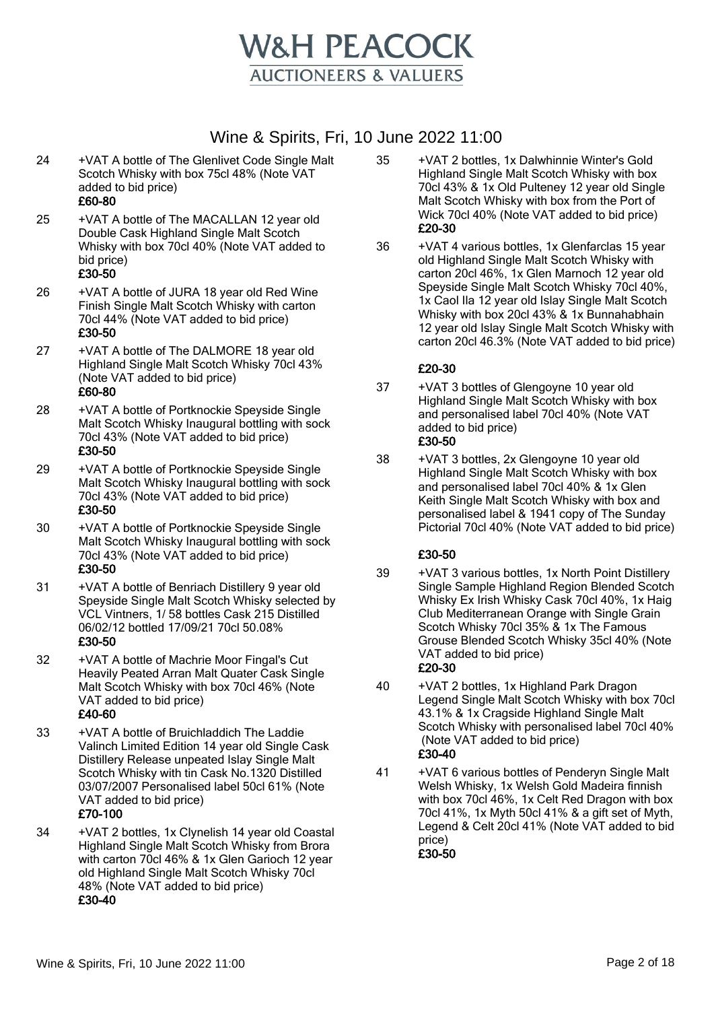

24 +VAT A bottle of The Glenlivet Code Single Malt Scotch Whisky with box 75cl 48% (Note VAT added to bid price)

## £60-80

25 +VAT A bottle of The MACALLAN 12 year old Double Cask Highland Single Malt Scotch Whisky with box 70cl 40% (Note VAT added to bid price)

#### £30-50

- 26 +VAT A bottle of JURA 18 year old Red Wine Finish Single Malt Scotch Whisky with carton 70cl 44% (Note VAT added to bid price) £30-50
- 27 +VAT A bottle of The DALMORE 18 year old Highland Single Malt Scotch Whisky 70cl 43% (Note VAT added to bid price)

## £60-80

- 28 +VAT A bottle of Portknockie Speyside Single Malt Scotch Whisky Inaugural bottling with sock 70cl 43% (Note VAT added to bid price) £30-50
- 29 +VAT A bottle of Portknockie Speyside Single Malt Scotch Whisky Inaugural bottling with sock 70cl 43% (Note VAT added to bid price) £30-50
- 30 +VAT A bottle of Portknockie Speyside Single Malt Scotch Whisky Inaugural bottling with sock 70cl 43% (Note VAT added to bid price) £30-50
- 31 +VAT A bottle of Benriach Distillery 9 year old Speyside Single Malt Scotch Whisky selected by VCL Vintners, 1/ 58 bottles Cask 215 Distilled 06/02/12 bottled 17/09/21 70cl 50.08% £30-50
- 32 +VAT A bottle of Machrie Moor Fingal's Cut Heavily Peated Arran Malt Quater Cask Single Malt Scotch Whisky with box 70cl 46% (Note VAT added to bid price) £40-60
- 33 +VAT A bottle of Bruichladdich The Laddie Valinch Limited Edition 14 year old Single Cask Distillery Release unpeated Islay Single Malt Scotch Whisky with tin Cask No.1320 Distilled 03/07/2007 Personalised label 50cl 61% (Note VAT added to bid price) £70-100
- 34 +VAT 2 bottles, 1x Clynelish 14 year old Coastal Highland Single Malt Scotch Whisky from Brora with carton 70cl 46% & 1x Glen Garioch 12 year old Highland Single Malt Scotch Whisky 70cl 48% (Note VAT added to bid price) £30-40
- 35 +VAT 2 bottles, 1x Dalwhinnie Winter's Gold Highland Single Malt Scotch Whisky with box 70cl 43% & 1x Old Pulteney 12 year old Single Malt Scotch Whisky with box from the Port of Wick 70cl 40% (Note VAT added to bid price) £20-30
- 36 +VAT 4 various bottles, 1x Glenfarclas 15 year old Highland Single Malt Scotch Whisky with carton 20cl 46%, 1x Glen Marnoch 12 year old Speyside Single Malt Scotch Whisky 70cl 40%, 1x Caol Ila 12 year old Islay Single Malt Scotch Whisky with box 20cl 43% & 1x Bunnahabhain 12 year old Islay Single Malt Scotch Whisky with carton 20cl 46.3% (Note VAT added to bid price)

#### £20-30

- 37 +VAT 3 bottles of Glengoyne 10 year old Highland Single Malt Scotch Whisky with box and personalised label 70cl 40% (Note VAT added to bid price) £30-50
- 38 +VAT 3 bottles, 2x Glengoyne 10 year old Highland Single Malt Scotch Whisky with box and personalised label 70cl 40% & 1x Glen Keith Single Malt Scotch Whisky with box and personalised label & 1941 copy of The Sunday Pictorial 70cl 40% (Note VAT added to bid price)

#### £30-50

- 39 +VAT 3 various bottles, 1x North Point Distillery Single Sample Highland Region Blended Scotch Whisky Ex Irish Whisky Cask 70cl 40%, 1x Haig Club Mediterranean Orange with Single Grain Scotch Whisky 70cl 35% & 1x The Famous Grouse Blended Scotch Whisky 35cl 40% (Note VAT added to bid price) £20-30
- 40 +VAT 2 bottles, 1x Highland Park Dragon Legend Single Malt Scotch Whisky with box 70cl 43.1% & 1x Cragside Highland Single Malt Scotch Whisky with personalised label 70cl 40% (Note VAT added to bid price) £30-40
- 41 +VAT 6 various bottles of Penderyn Single Malt Welsh Whisky, 1x Welsh Gold Madeira finnish with box 70cl 46%, 1x Celt Red Dragon with box 70cl 41%, 1x Myth 50cl 41% & a gift set of Myth, Legend & Celt 20cl 41% (Note VAT added to bid price)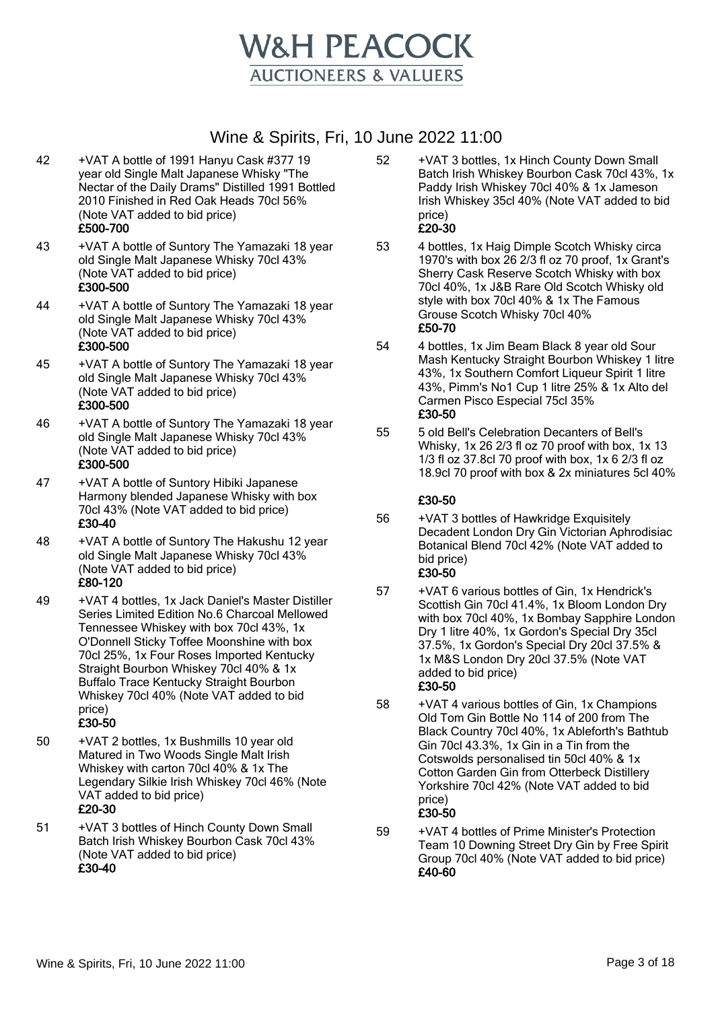

- 42 +VAT A bottle of 1991 Hanyu Cask #377 19 year old Single Malt Japanese Whisky "The Nectar of the Daily Drams" Distilled 1991 Bottled 2010 Finished in Red Oak Heads 70cl 56% (Note VAT added to bid price) £500-700
- 43 +VAT A bottle of Suntory The Yamazaki 18 year old Single Malt Japanese Whisky 70cl 43% (Note VAT added to bid price) £300-500
- 44 +VAT A bottle of Suntory The Yamazaki 18 year old Single Malt Japanese Whisky 70cl 43% (Note VAT added to bid price) £300-500
- 45 +VAT A bottle of Suntory The Yamazaki 18 year old Single Malt Japanese Whisky 70cl 43% (Note VAT added to bid price) £300-500
- 46 +VAT A bottle of Suntory The Yamazaki 18 year old Single Malt Japanese Whisky 70cl 43% (Note VAT added to bid price) £300-500
- 47 +VAT A bottle of Suntory Hibiki Japanese Harmony blended Japanese Whisky with box 70cl 43% (Note VAT added to bid price) £30-40
- 48 +VAT A bottle of Suntory The Hakushu 12 year old Single Malt Japanese Whisky 70cl 43% (Note VAT added to bid price) £80-120
- 49 +VAT 4 bottles, 1x Jack Daniel's Master Distiller Series Limited Edition No.6 Charcoal Mellowed Tennessee Whiskey with box 70cl 43%, 1x O'Donnell Sticky Toffee Moonshine with box 70cl 25%, 1x Four Roses Imported Kentucky Straight Bourbon Whiskey 70cl 40% & 1x Buffalo Trace Kentucky Straight Bourbon Whiskey 70cl 40% (Note VAT added to bid price)

#### £30-50

- 50 +VAT 2 bottles, 1x Bushmills 10 year old Matured in Two Woods Single Malt Irish Whiskey with carton 70cl 40% & 1x The Legendary Silkie Irish Whiskey 70cl 46% (Note VAT added to bid price) £20-30
- 51 +VAT 3 bottles of Hinch County Down Small Batch Irish Whiskey Bourbon Cask 70cl 43% (Note VAT added to bid price) £30-40
- 52 +VAT 3 bottles, 1x Hinch County Down Small Batch Irish Whiskey Bourbon Cask 70cl 43%, 1x Paddy Irish Whiskey 70cl 40% & 1x Jameson Irish Whiskey 35cl 40% (Note VAT added to bid price) £20-30
- 53 4 bottles, 1x Haig Dimple Scotch Whisky circa 1970's with box 26 2/3 fl oz 70 proof, 1x Grant's Sherry Cask Reserve Scotch Whisky with box 70cl 40%, 1x J&B Rare Old Scotch Whisky old style with box 70cl 40% & 1x The Famous Grouse Scotch Whisky 70cl 40% £50-70
- 54 4 bottles, 1x Jim Beam Black 8 year old Sour Mash Kentucky Straight Bourbon Whiskey 1 litre 43%, 1x Southern Comfort Liqueur Spirit 1 litre 43%, Pimm's No1 Cup 1 litre 25% & 1x Alto del Carmen Pisco Especial 75cl 35% £30-50
- 55 5 old Bell's Celebration Decanters of Bell's Whisky, 1x 26 2/3 fl oz 70 proof with box, 1x 13 1/3 fl oz 37.8cl 70 proof with box, 1x 6 2/3 fl oz 18.9cl 70 proof with box & 2x miniatures 5cl 40%

- 56 +VAT 3 bottles of Hawkridge Exquisitely Decadent London Dry Gin Victorian Aphrodisiac Botanical Blend 70cl 42% (Note VAT added to bid price) £30-50
- 57 +VAT 6 various bottles of Gin, 1x Hendrick's Scottish Gin 70cl 41.4%, 1x Bloom London Dry with box 70cl 40%, 1x Bombay Sapphire London Dry 1 litre 40%, 1x Gordon's Special Dry 35cl 37.5%, 1x Gordon's Special Dry 20cl 37.5% & 1x M&S London Dry 20cl 37.5% (Note VAT added to bid price) £30-50
- 58 +VAT 4 various bottles of Gin, 1x Champions Old Tom Gin Bottle No 114 of 200 from The Black Country 70cl 40%, 1x Ableforth's Bathtub Gin 70cl 43.3%, 1x Gin in a Tin from the Cotswolds personalised tin 50cl 40% & 1x Cotton Garden Gin from Otterbeck Distillery Yorkshire 70cl 42% (Note VAT added to bid price) £30-50
- 59 +VAT 4 bottles of Prime Minister's Protection Team 10 Downing Street Dry Gin by Free Spirit Group 70cl 40% (Note VAT added to bid price) £40-60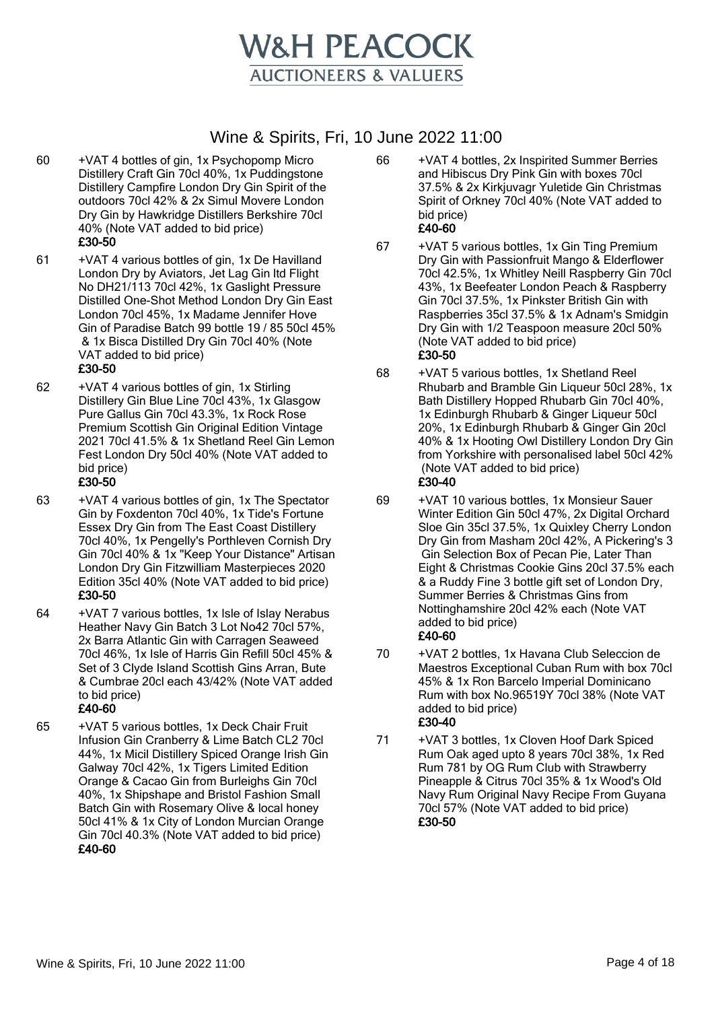

- 60 +VAT 4 bottles of gin, 1x Psychopomp Micro Distillery Craft Gin 70cl 40%, 1x Puddingstone Distillery Campfire London Dry Gin Spirit of the outdoors 70cl 42% & 2x Simul Movere London Dry Gin by Hawkridge Distillers Berkshire 70cl 40% (Note VAT added to bid price) £30-50
- 61 +VAT 4 various bottles of gin, 1x De Havilland London Dry by Aviators, Jet Lag Gin ltd Flight No DH21/113 70cl 42%, 1x Gaslight Pressure Distilled One-Shot Method London Dry Gin East London 70cl 45%, 1x Madame Jennifer Hove Gin of Paradise Batch 99 bottle 19 / 85 50cl 45% & 1x Bisca Distilled Dry Gin 70cl 40% (Note VAT added to bid price)

#### £30-50

62 +VAT 4 various bottles of gin, 1x Stirling Distillery Gin Blue Line 70cl 43%, 1x Glasgow Pure Gallus Gin 70cl 43.3%, 1x Rock Rose Premium Scottish Gin Original Edition Vintage 2021 70cl 41.5% & 1x Shetland Reel Gin Lemon Fest London Dry 50cl 40% (Note VAT added to bid price)

#### £30-50

- 63 +VAT 4 various bottles of gin, 1x The Spectator Gin by Foxdenton 70cl 40%, 1x Tide's Fortune Essex Dry Gin from The East Coast Distillery 70cl 40%, 1x Pengelly's Porthleven Cornish Dry Gin 70cl 40% & 1x "Keep Your Distance" Artisan London Dry Gin Fitzwilliam Masterpieces 2020 Edition 35cl 40% (Note VAT added to bid price) £30-50
- 64 +VAT 7 various bottles, 1x Isle of Islay Nerabus Heather Navy Gin Batch 3 Lot No42 70cl 57%, 2x Barra Atlantic Gin with Carragen Seaweed 70cl 46%, 1x Isle of Harris Gin Refill 50cl 45% & Set of 3 Clyde Island Scottish Gins Arran, Bute & Cumbrae 20cl each 43/42% (Note VAT added to bid price)

## £40-60

65 +VAT 5 various bottles, 1x Deck Chair Fruit Infusion Gin Cranberry & Lime Batch CL2 70cl 44%, 1x Micil Distillery Spiced Orange Irish Gin Galway 70cl 42%, 1x Tigers Limited Edition Orange & Cacao Gin from Burleighs Gin 70cl 40%, 1x Shipshape and Bristol Fashion Small Batch Gin with Rosemary Olive & local honey 50cl 41% & 1x City of London Murcian Orange Gin 70cl 40.3% (Note VAT added to bid price) £40-60

- 66 +VAT 4 bottles, 2x Inspirited Summer Berries and Hibiscus Dry Pink Gin with boxes 70cl 37.5% & 2x Kirkjuvagr Yuletide Gin Christmas Spirit of Orkney 70cl 40% (Note VAT added to bid price) £40-60
- 67 +VAT 5 various bottles, 1x Gin Ting Premium Dry Gin with Passionfruit Mango & Elderflower 70cl 42.5%, 1x Whitley Neill Raspberry Gin 70cl 43%, 1x Beefeater London Peach & Raspberry Gin 70cl 37.5%, 1x Pinkster British Gin with Raspberries 35cl 37.5% & 1x Adnam's Smidgin Dry Gin with 1/2 Teaspoon measure 20cl 50% (Note VAT added to bid price) £30-50
- 68 +VAT 5 various bottles, 1x Shetland Reel Rhubarb and Bramble Gin Liqueur 50cl 28%, 1x Bath Distillery Hopped Rhubarb Gin 70cl 40%, 1x Edinburgh Rhubarb & Ginger Liqueur 50cl 20%, 1x Edinburgh Rhubarb & Ginger Gin 20cl 40% & 1x Hooting Owl Distillery London Dry Gin from Yorkshire with personalised label 50cl 42% (Note VAT added to bid price) £30-40
- 69 +VAT 10 various bottles, 1x Monsieur Sauer Winter Edition Gin 50cl 47%, 2x Digital Orchard Sloe Gin 35cl 37.5%, 1x Quixley Cherry London Dry Gin from Masham 20cl 42%, A Pickering's 3 Gin Selection Box of Pecan Pie, Later Than Eight & Christmas Cookie Gins 20cl 37.5% each & a Ruddy Fine 3 bottle gift set of London Dry, Summer Berries & Christmas Gins from Nottinghamshire 20cl 42% each (Note VAT added to bid price) £40-60
- 70 +VAT 2 bottles, 1x Havana Club Seleccion de Maestros Exceptional Cuban Rum with box 70cl 45% & 1x Ron Barcelo Imperial Dominicano Rum with box No.96519Y 70cl 38% (Note VAT added to bid price) £30-40
- 71 +VAT 3 bottles, 1x Cloven Hoof Dark Spiced Rum Oak aged upto 8 years 70cl 38%, 1x Red Rum 781 by OG Rum Club with Strawberry Pineapple & Citrus 70cl 35% & 1x Wood's Old Navy Rum Original Navy Recipe From Guyana 70cl 57% (Note VAT added to bid price) £30-50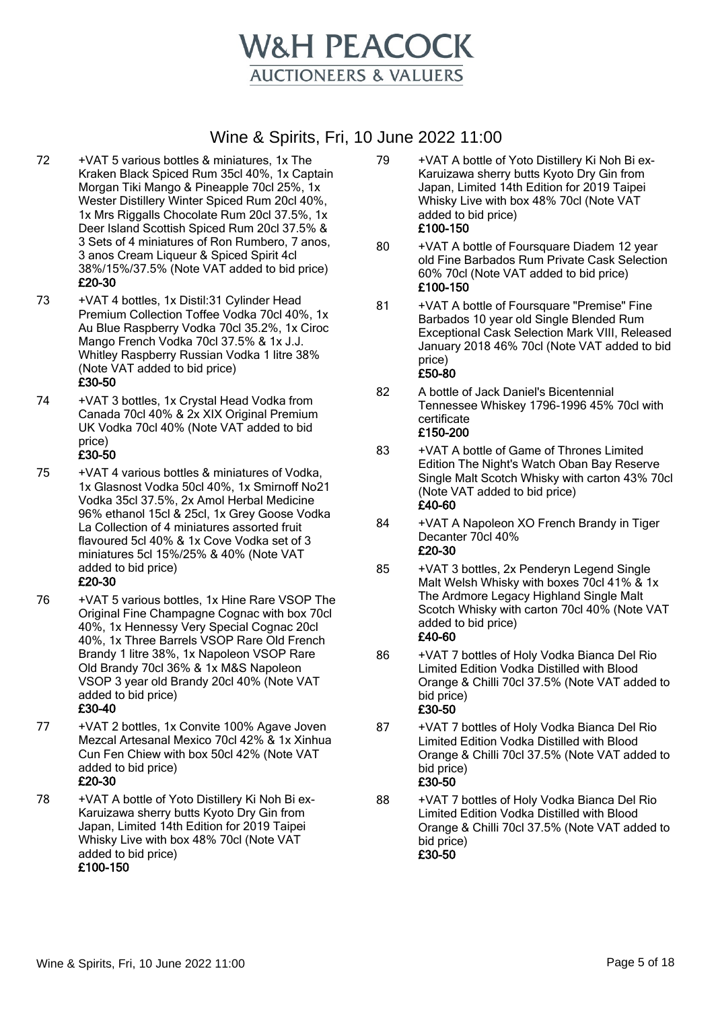

- 72 +VAT 5 various bottles & miniatures, 1x The Kraken Black Spiced Rum 35cl 40%, 1x Captain Morgan Tiki Mango & Pineapple 70cl 25%, 1x Wester Distillery Winter Spiced Rum 20cl 40%, 1x Mrs Riggalls Chocolate Rum 20cl 37.5%, 1x Deer Island Scottish Spiced Rum 20cl 37.5% & 3 Sets of 4 miniatures of Ron Rumbero, 7 anos, 3 anos Cream Liqueur & Spiced Spirit 4cl 38%/15%/37.5% (Note VAT added to bid price) £20-30
- 73 +VAT 4 bottles, 1x Distil:31 Cylinder Head Premium Collection Toffee Vodka 70cl 40%, 1x Au Blue Raspberry Vodka 70cl 35.2%, 1x Ciroc Mango French Vodka 70cl 37.5% & 1x J.J. Whitley Raspberry Russian Vodka 1 litre 38% (Note VAT added to bid price) £30-50
- 74 +VAT 3 bottles, 1x Crystal Head Vodka from Canada 70cl 40% & 2x XIX Original Premium UK Vodka 70cl 40% (Note VAT added to bid price)

## £30-50

75 +VAT 4 various bottles & miniatures of Vodka, 1x Glasnost Vodka 50cl 40%, 1x Smirnoff No21 Vodka 35cl 37.5%, 2x Amol Herbal Medicine 96% ethanol 15cl & 25cl, 1x Grey Goose Vodka La Collection of 4 miniatures assorted fruit flavoured 5cl 40% & 1x Cove Vodka set of 3 miniatures 5cl 15%/25% & 40% (Note VAT added to bid price)

#### £20-30

76 +VAT 5 various bottles, 1x Hine Rare VSOP The Original Fine Champagne Cognac with box 70cl 40%, 1x Hennessy Very Special Cognac 20cl 40%, 1x Three Barrels VSOP Rare Old French Brandy 1 litre 38%, 1x Napoleon VSOP Rare Old Brandy 70cl 36% & 1x M&S Napoleon VSOP 3 year old Brandy 20cl 40% (Note VAT added to bid price)

#### £30-40

77 +VAT 2 bottles, 1x Convite 100% Agave Joven Mezcal Artesanal Mexico 70cl 42% & 1x Xinhua Cun Fen Chiew with box 50cl 42% (Note VAT added to bid price)

## £20-30

78 +VAT A bottle of Yoto Distillery Ki Noh Bi ex-Karuizawa sherry butts Kyoto Dry Gin from Japan, Limited 14th Edition for 2019 Taipei Whisky Live with box 48% 70cl (Note VAT added to bid price) £100-150

- 79 +VAT A bottle of Yoto Distillery Ki Noh Bi ex-Karuizawa sherry butts Kyoto Dry Gin from Japan, Limited 14th Edition for 2019 Taipei Whisky Live with box 48% 70cl (Note VAT added to bid price) £100-150
- 80 +VAT A bottle of Foursquare Diadem 12 year old Fine Barbados Rum Private Cask Selection 60% 70cl (Note VAT added to bid price) £100-150
- 81 +VAT A bottle of Foursquare "Premise" Fine Barbados 10 year old Single Blended Rum Exceptional Cask Selection Mark VIII, Released January 2018 46% 70cl (Note VAT added to bid price) £50-80
- 82 A bottle of Jack Daniel's Bicentennial Tennessee Whiskey 1796-1996 45% 70cl with certificate £150-200
- 83 +VAT A bottle of Game of Thrones Limited Edition The Night's Watch Oban Bay Reserve Single Malt Scotch Whisky with carton 43% 70cl (Note VAT added to bid price) £40-60
- 84 +VAT A Napoleon XO French Brandy in Tiger Decanter 70cl 40% £20-30
- 85 +VAT 3 bottles, 2x Penderyn Legend Single Malt Welsh Whisky with boxes 70cl 41% & 1x The Ardmore Legacy Highland Single Malt Scotch Whisky with carton 70cl 40% (Note VAT added to bid price) £40-60
- 86 +VAT 7 bottles of Holy Vodka Bianca Del Rio Limited Edition Vodka Distilled with Blood Orange & Chilli 70cl 37.5% (Note VAT added to bid price) £30-50
- 87 +VAT 7 bottles of Holy Vodka Bianca Del Rio Limited Edition Vodka Distilled with Blood Orange & Chilli 70cl 37.5% (Note VAT added to bid price) £30-50
- 88 +VAT 7 bottles of Holy Vodka Bianca Del Rio Limited Edition Vodka Distilled with Blood Orange & Chilli 70cl 37.5% (Note VAT added to bid price) £30-50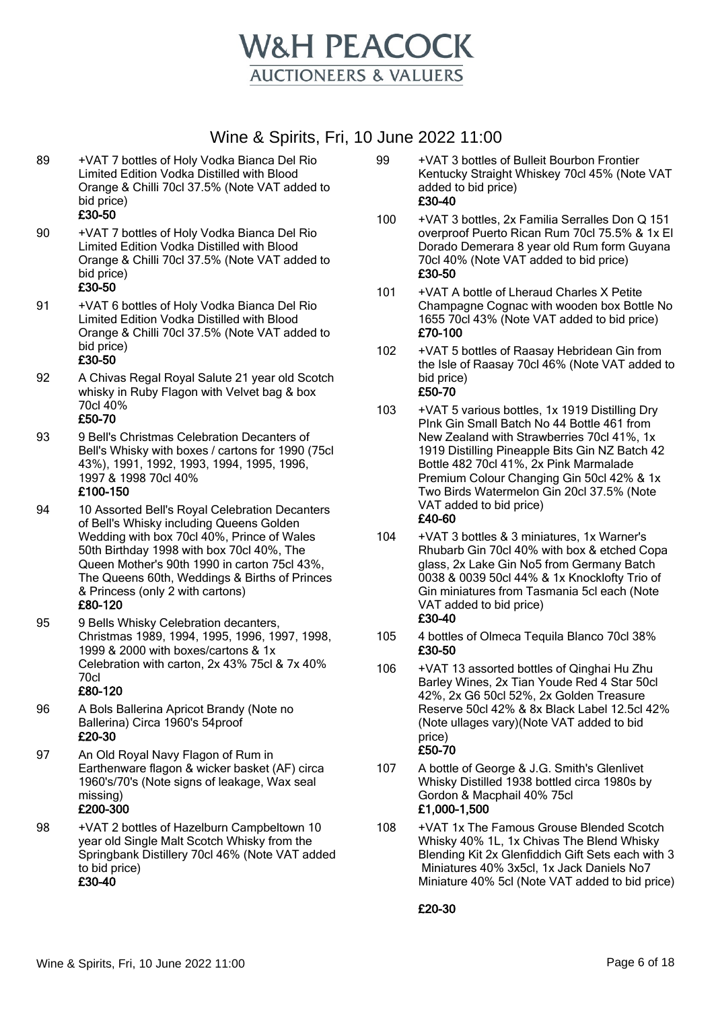

- 89 +VAT 7 bottles of Holy Vodka Bianca Del Rio Limited Edition Vodka Distilled with Blood Orange & Chilli 70cl 37.5% (Note VAT added to bid price) £30-50
- 90 +VAT 7 bottles of Holy Vodka Bianca Del Rio Limited Edition Vodka Distilled with Blood Orange & Chilli 70cl 37.5% (Note VAT added to bid price)

## £30-50

91 +VAT 6 bottles of Holy Vodka Bianca Del Rio Limited Edition Vodka Distilled with Blood Orange & Chilli 70cl 37.5% (Note VAT added to bid price)

## £30-50

- 92 A Chivas Regal Royal Salute 21 year old Scotch whisky in Ruby Flagon with Velvet bag & box 70cl 40% £50-70
- 93 9 Bell's Christmas Celebration Decanters of Bell's Whisky with boxes / cartons for 1990 (75cl 43%), 1991, 1992, 1993, 1994, 1995, 1996, 1997 & 1998 70cl 40%

#### £100-150

- 94 10 Assorted Bell's Royal Celebration Decanters of Bell's Whisky including Queens Golden Wedding with box 70cl 40%, Prince of Wales 50th Birthday 1998 with box 70cl 40%, The Queen Mother's 90th 1990 in carton 75cl 43%, The Queens 60th, Weddings & Births of Princes & Princess (only 2 with cartons) £80-120
- 95 9 Bells Whisky Celebration decanters, Christmas 1989, 1994, 1995, 1996, 1997, 1998, 1999 & 2000 with boxes/cartons & 1x Celebration with carton, 2x 43% 75cl & 7x 40% 70cl

#### £80-120

- 96 A Bols Ballerina Apricot Brandy (Note no Ballerina) Circa 1960's 54proof £20-30
- 97 An Old Royal Navy Flagon of Rum in Earthenware flagon & wicker basket (AF) circa 1960's/70's (Note signs of leakage, Wax seal missing) £200-300
- 98 +VAT 2 bottles of Hazelburn Campbeltown 10 year old Single Malt Scotch Whisky from the Springbank Distillery 70cl 46% (Note VAT added to bid price)

#### £30-40

- 99 +VAT 3 bottles of Bulleit Bourbon Frontier Kentucky Straight Whiskey 70cl 45% (Note VAT added to bid price) £30-40
- 100 +VAT 3 bottles, 2x Familia Serralles Don Q 151 overproof Puerto Rican Rum 70cl 75.5% & 1x El Dorado Demerara 8 year old Rum form Guyana 70cl 40% (Note VAT added to bid price) £30-50
- 101 +VAT A bottle of Lheraud Charles X Petite Champagne Cognac with wooden box Bottle No 1655 70cl 43% (Note VAT added to bid price) £70-100
- 102 +VAT 5 bottles of Raasay Hebridean Gin from the Isle of Raasay 70cl 46% (Note VAT added to bid price) £50-70
- 103 +VAT 5 various bottles, 1x 1919 Distilling Dry PInk Gin Small Batch No 44 Bottle 461 from New Zealand with Strawberries 70cl 41%, 1x 1919 Distilling Pineapple Bits Gin NZ Batch 42 Bottle 482 70cl 41%, 2x Pink Marmalade Premium Colour Changing Gin 50cl 42% & 1x Two Birds Watermelon Gin 20cl 37.5% (Note VAT added to bid price) £40-60
- 104 +VAT 3 bottles & 3 miniatures, 1x Warner's Rhubarb Gin 70cl 40% with box & etched Copa glass, 2x Lake Gin No5 from Germany Batch 0038 & 0039 50cl 44% & 1x Knocklofty Trio of Gin miniatures from Tasmania 5cl each (Note VAT added to bid price) £30-40
- 105 4 bottles of Olmeca Tequila Blanco 70cl 38% £30-50
- 106 +VAT 13 assorted bottles of Qinghai Hu Zhu Barley Wines, 2x Tian Youde Red 4 Star 50cl 42%, 2x G6 50cl 52%, 2x Golden Treasure Reserve 50cl 42% & 8x Black Label 12.5cl 42% (Note ullages vary)(Note VAT added to bid price) £50-70
- 107 A bottle of George & J.G. Smith's Glenlivet Whisky Distilled 1938 bottled circa 1980s by Gordon & Macphail 40% 75cl £1,000-1,500
- 108 +VAT 1x The Famous Grouse Blended Scotch Whisky 40% 1L, 1x Chivas The Blend Whisky Blending Kit 2x Glenfiddich Gift Sets each with 3 Miniatures 40% 3x5cl, 1x Jack Daniels No7 Miniature 40% 5cl (Note VAT added to bid price)

£20-30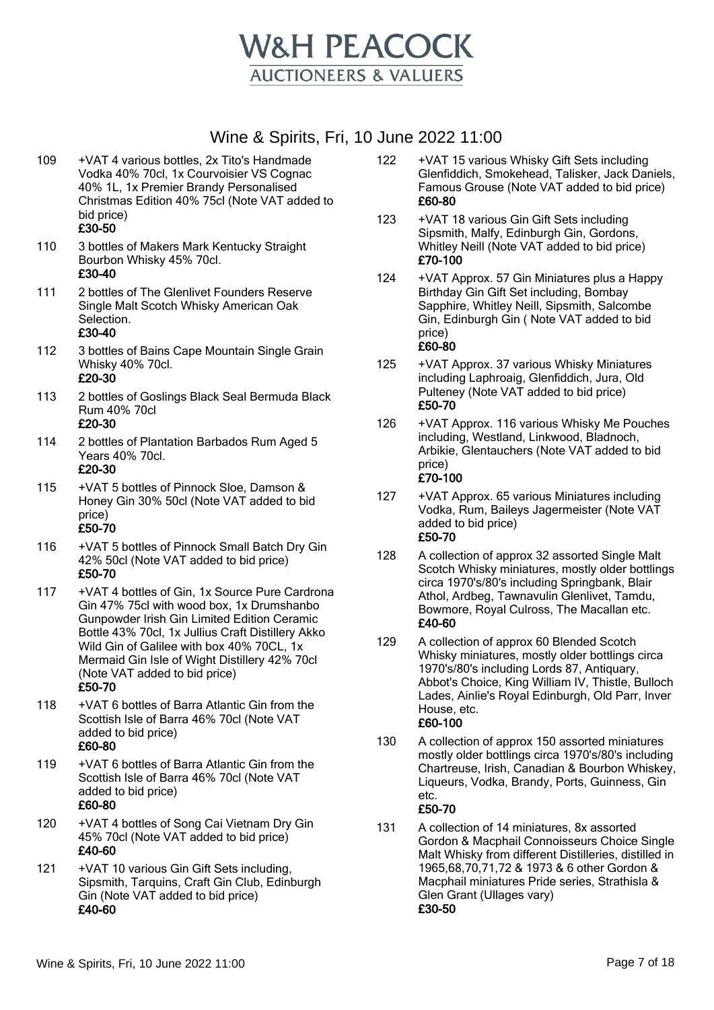

- 109 +VAT 4 various bottles, 2x Tito's Handmade Vodka 40% 70cl, 1x Courvoisier VS Cognac 40% 1L, 1x Premier Brandy Personalised Christmas Edition 40% 75cl (Note VAT added to bid price) £30-50
- 110 3 bottles of Makers Mark Kentucky Straight Bourbon Whisky 45% 70cl. £30-40

111 2 bottles of The Glenlivet Founders Reserve Single Malt Scotch Whisky American Oak Selection.

#### £30-40

- 112 3 bottles of Bains Cape Mountain Single Grain Whisky 40% 70cl.
	- £20-30
- 113 2 bottles of Goslings Black Seal Bermuda Black Rum 40% 70cl £20-30
- 114 2 bottles of Plantation Barbados Rum Aged 5 Years 40% 70cl. £20-30
	-
- 115 +VAT 5 bottles of Pinnock Sloe, Damson & Honey Gin 30% 50cl (Note VAT added to bid price) £50-70
- 116 +VAT 5 bottles of Pinnock Small Batch Dry Gin 42% 50cl (Note VAT added to bid price) £50-70
- 117 +VAT 4 bottles of Gin, 1x Source Pure Cardrona Gin 47% 75cl with wood box, 1x Drumshanbo Gunpowder Irish Gin Limited Edition Ceramic Bottle 43% 70cl, 1x Jullius Craft Distillery Akko Wild Gin of Galilee with box 40% 70CL, 1x Mermaid Gin Isle of Wight Distillery 42% 70cl (Note VAT added to bid price) £50-70
	-
- 118 +VAT 6 bottles of Barra Atlantic Gin from the Scottish Isle of Barra 46% 70cl (Note VAT added to bid price) £60-80
- 119 +VAT 6 bottles of Barra Atlantic Gin from the Scottish Isle of Barra 46% 70cl (Note VAT added to bid price) £60-80
- 120 +VAT 4 bottles of Song Cai Vietnam Dry Gin 45% 70cl (Note VAT added to bid price) £40-60
- 121 +VAT 10 various Gin Gift Sets including, Sipsmith, Tarquins, Craft Gin Club, Edinburgh Gin (Note VAT added to bid price) £40-60
- 122 +VAT 15 various Whisky Gift Sets including Glenfiddich, Smokehead, Talisker, Jack Daniels, Famous Grouse (Note VAT added to bid price) £60-80
- 123 +VAT 18 various Gin Gift Sets including Sipsmith, Malfy, Edinburgh Gin, Gordons, Whitley Neill (Note VAT added to bid price) £70-100
- 124 +VAT Approx. 57 Gin Miniatures plus a Happy Birthday Gin Gift Set including, Bombay Sapphire, Whitley Neill, Sipsmith, Salcombe Gin, Edinburgh Gin ( Note VAT added to bid price) £60-80
- 125 +VAT Approx. 37 various Whisky Miniatures including Laphroaig, Glenfiddich, Jura, Old Pulteney (Note VAT added to bid price) £50-70
- 126 +VAT Approx. 116 various Whisky Me Pouches including, Westland, Linkwood, Bladnoch, Arbikie, Glentauchers (Note VAT added to bid price) £70-100
- 127 +VAT Approx. 65 various Miniatures including Vodka, Rum, Baileys Jagermeister (Note VAT added to bid price) £50-70
- 128 A collection of approx 32 assorted Single Malt Scotch Whisky miniatures, mostly older bottlings circa 1970's/80's including Springbank, Blair Athol, Ardbeg, Tawnavulin Glenlivet, Tamdu, Bowmore, Royal Culross, The Macallan etc. £40-60
- 129 A collection of approx 60 Blended Scotch Whisky miniatures, mostly older bottlings circa 1970's/80's including Lords 87, Antiquary, Abbot's Choice, King William IV, Thistle, Bulloch Lades, Ainlie's Royal Edinburgh, Old Parr, Inver House, etc. £60-100
- 130 A collection of approx 150 assorted miniatures mostly older bottlings circa 1970's/80's including Chartreuse, Irish, Canadian & Bourbon Whiskey, Liqueurs, Vodka, Brandy, Ports, Guinness, Gin etc.

#### £50-70

131 A collection of 14 miniatures, 8x assorted Gordon & Macphail Connoisseurs Choice Single Malt Whisky from different Distilleries, distilled in 1965,68,70,71,72 & 1973 & 6 other Gordon & Macphail miniatures Pride series, Strathisla & Glen Grant (Ullages vary) £30-50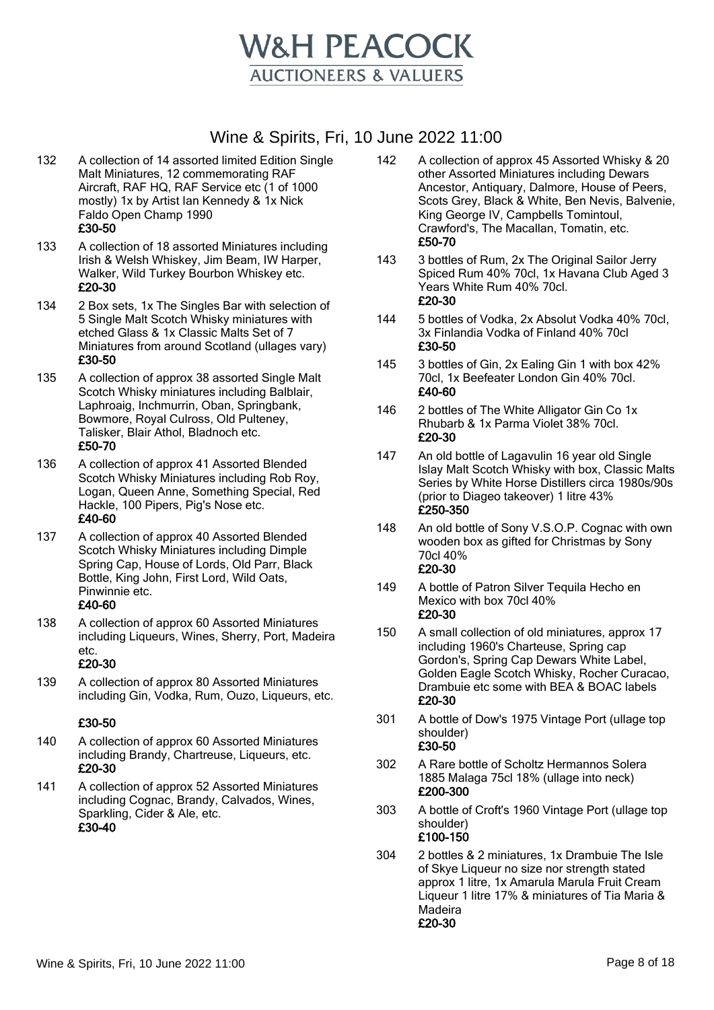

- 132 A collection of 14 assorted limited Edition Single Malt Miniatures, 12 commemorating RAF Aircraft, RAF HQ, RAF Service etc (1 of 1000 mostly) 1x by Artist Ian Kennedy & 1x Nick Faldo Open Champ 1990 £30-50
- 133 A collection of 18 assorted Miniatures including Irish & Welsh Whiskey, Jim Beam, IW Harper, Walker, Wild Turkey Bourbon Whiskey etc. £20-30
- 134 2 Box sets, 1x The Singles Bar with selection of 5 Single Malt Scotch Whisky miniatures with etched Glass & 1x Classic Malts Set of 7 Miniatures from around Scotland (ullages vary) £30-50
- 135 A collection of approx 38 assorted Single Malt Scotch Whisky miniatures including Balblair, Laphroaig, Inchmurrin, Oban, Springbank, Bowmore, Royal Culross, Old Pulteney, Talisker, Blair Athol, Bladnoch etc. £50-70
- 136 A collection of approx 41 Assorted Blended Scotch Whisky Miniatures including Rob Roy, Logan, Queen Anne, Something Special, Red Hackle, 100 Pipers, Pig's Nose etc. £40-60
- 137 A collection of approx 40 Assorted Blended Scotch Whisky Miniatures including Dimple Spring Cap, House of Lords, Old Parr, Black Bottle, King John, First Lord, Wild Oats, Pinwinnie etc.

#### £40-60

138 A collection of approx 60 Assorted Miniatures including Liqueurs, Wines, Sherry, Port, Madeira etc.

#### £20-30

139 A collection of approx 80 Assorted Miniatures including Gin, Vodka, Rum, Ouzo, Liqueurs, etc.

- 140 A collection of approx 60 Assorted Miniatures including Brandy, Chartreuse, Liqueurs, etc. £20-30
- 141 A collection of approx 52 Assorted Miniatures including Cognac, Brandy, Calvados, Wines, Sparkling, Cider & Ale, etc. £30-40
- 142 A collection of approx 45 Assorted Whisky & 20 other Assorted Miniatures including Dewars Ancestor, Antiquary, Dalmore, House of Peers, Scots Grey, Black & White, Ben Nevis, Balvenie, King George IV, Campbells Tomintoul, Crawford's, The Macallan, Tomatin, etc. £50-70
- 143 3 bottles of Rum, 2x The Original Sailor Jerry Spiced Rum 40% 70cl, 1x Havana Club Aged 3 Years White Rum 40% 70cl. £20-30
- 144 5 bottles of Vodka, 2x Absolut Vodka 40% 70cl, 3x Finlandia Vodka of Finland 40% 70cl £30-50
- 145 3 bottles of Gin, 2x Ealing Gin 1 with box 42% 70cl, 1x Beefeater London Gin 40% 70cl. £40-60
- 146 2 bottles of The White Alligator Gin Co 1x Rhubarb & 1x Parma Violet 38% 70cl. £20-30
- 147 An old bottle of Lagavulin 16 year old Single Islay Malt Scotch Whisky with box, Classic Malts Series by White Horse Distillers circa 1980s/90s (prior to Diageo takeover) 1 litre 43% £250-350
- 148 An old bottle of Sony V.S.O.P. Cognac with own wooden box as gifted for Christmas by Sony 70cl 40% £20-30
- 149 A bottle of Patron Silver Tequila Hecho en Mexico with box 70cl 40% £20-30
- 150 A small collection of old miniatures, approx 17 including 1960's Charteuse, Spring cap Gordon's, Spring Cap Dewars White Label, Golden Eagle Scotch Whisky, Rocher Curacao, Drambuie etc some with BEA & BOAC labels £20-30
- 301 A bottle of Dow's 1975 Vintage Port (ullage top shoulder) £30-50
- 302 A Rare bottle of Scholtz Hermannos Solera 1885 Malaga 75cl 18% (ullage into neck) £200-300
- 303 A bottle of Croft's 1960 Vintage Port (ullage top shoulder) £100-150
- 304 2 bottles & 2 miniatures, 1x Drambuie The Isle of Skye Liqueur no size nor strength stated approx 1 litre, 1x Amarula Marula Fruit Cream Liqueur 1 litre 17% & miniatures of Tia Maria & Madeira £20-30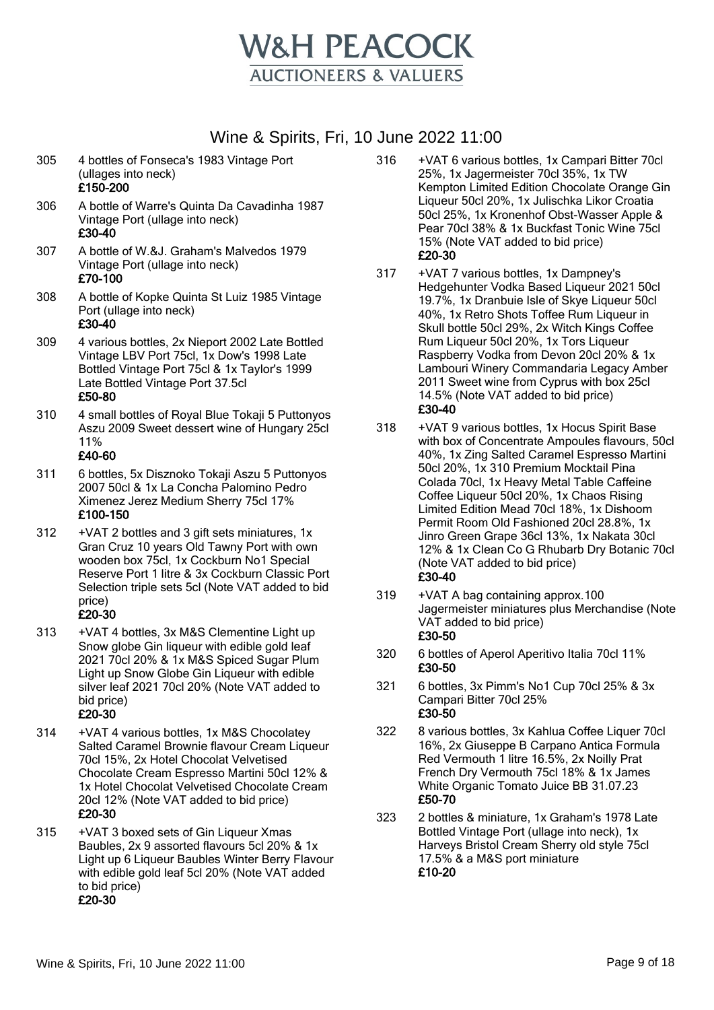

305 4 bottles of Fonseca's 1983 Vintage Port (ullages into neck)

#### £150-200

- 306 A bottle of Warre's Quinta Da Cavadinha 1987 Vintage Port (ullage into neck) £30-40
- 307 A bottle of W.&J. Graham's Malvedos 1979 Vintage Port (ullage into neck) £70-100
- 308 A bottle of Kopke Quinta St Luiz 1985 Vintage Port (ullage into neck) £30-40
- 309 4 various bottles, 2x Nieport 2002 Late Bottled Vintage LBV Port 75cl, 1x Dow's 1998 Late Bottled Vintage Port 75cl & 1x Taylor's 1999 Late Bottled Vintage Port 37.5cl £50-80
- 310 4 small bottles of Royal Blue Tokaji 5 Puttonyos Aszu 2009 Sweet dessert wine of Hungary 25cl 11%

#### £40-60

- 311 6 bottles, 5x Disznoko Tokaji Aszu 5 Puttonyos 2007 50cl & 1x La Concha Palomino Pedro Ximenez Jerez Medium Sherry 75cl 17% £100-150
- 312 +VAT 2 bottles and 3 gift sets miniatures, 1x Gran Cruz 10 years Old Tawny Port with own wooden box 75cl, 1x Cockburn No1 Special Reserve Port 1 litre & 3x Cockburn Classic Port Selection triple sets 5cl (Note VAT added to bid price) £20-30
- 313 +VAT 4 bottles, 3x M&S Clementine Light up Snow globe Gin liqueur with edible gold leaf 2021 70cl 20% & 1x M&S Spiced Sugar Plum Light up Snow Globe Gin Liqueur with edible silver leaf 2021 70cl 20% (Note VAT added to bid price) £20-30
- 314 +VAT 4 various bottles, 1x M&S Chocolatey Salted Caramel Brownie flavour Cream Liqueur 70cl 15%, 2x Hotel Chocolat Velvetised Chocolate Cream Espresso Martini 50cl 12% & 1x Hotel Chocolat Velvetised Chocolate Cream 20cl 12% (Note VAT added to bid price) £20-30
- 315 +VAT 3 boxed sets of Gin Liqueur Xmas Baubles, 2x 9 assorted flavours 5cl 20% & 1x Light up 6 Liqueur Baubles Winter Berry Flavour with edible gold leaf 5cl 20% (Note VAT added to bid price) £20-30
- 316 +VAT 6 various bottles, 1x Campari Bitter 70cl 25%, 1x Jagermeister 70cl 35%, 1x TW Kempton Limited Edition Chocolate Orange Gin Liqueur 50cl 20%, 1x Julischka Likor Croatia 50cl 25%, 1x Kronenhof Obst-Wasser Apple & Pear 70cl 38% & 1x Buckfast Tonic Wine 75cl 15% (Note VAT added to bid price) £20-30
- 317 +VAT 7 various bottles, 1x Dampney's Hedgehunter Vodka Based Liqueur 2021 50cl 19.7%, 1x Dranbuie Isle of Skye Liqueur 50cl 40%, 1x Retro Shots Toffee Rum Liqueur in Skull bottle 50cl 29%, 2x Witch Kings Coffee Rum Liqueur 50cl 20%, 1x Tors Liqueur Raspberry Vodka from Devon 20cl 20% & 1x Lambouri Winery Commandaria Legacy Amber 2011 Sweet wine from Cyprus with box 25cl 14.5% (Note VAT added to bid price) £30-40
- 318 +VAT 9 various bottles, 1x Hocus Spirit Base with box of Concentrate Ampoules flavours, 50cl 40%, 1x Zing Salted Caramel Espresso Martini 50cl 20%, 1x 310 Premium Mocktail Pina Colada 70cl, 1x Heavy Metal Table Caffeine Coffee Liqueur 50cl 20%, 1x Chaos Rising Limited Edition Mead 70cl 18%, 1x Dishoom Permit Room Old Fashioned 20cl 28.8%, 1x Jinro Green Grape 36cl 13%, 1x Nakata 30cl 12% & 1x Clean Co G Rhubarb Dry Botanic 70cl (Note VAT added to bid price) £30-40
- 319 +VAT A bag containing approx.100 Jagermeister miniatures plus Merchandise (Note VAT added to bid price) £30-50
- 320 6 bottles of Aperol Aperitivo Italia 70cl 11% £30-50
- 321 6 bottles, 3x Pimm's No1 Cup 70cl 25% & 3x Campari Bitter 70cl 25% £30-50
- 322 8 various bottles, 3x Kahlua Coffee Liquer 70cl 16%, 2x Giuseppe B Carpano Antica Formula Red Vermouth 1 litre 16.5%, 2x Noilly Prat French Dry Vermouth 75cl 18% & 1x James White Organic Tomato Juice BB 31.07.23 £50-70
- 323 2 bottles & miniature, 1x Graham's 1978 Late Bottled Vintage Port (ullage into neck), 1x Harveys Bristol Cream Sherry old style 75cl 17.5% & a M&S port miniature £10-20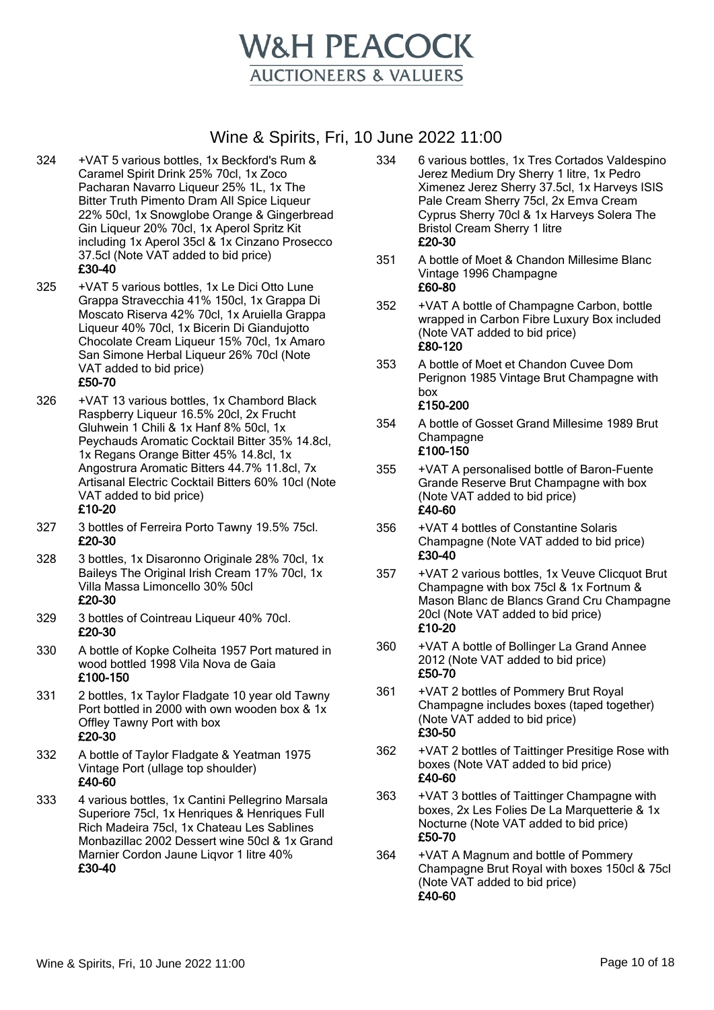

- 324 +VAT 5 various bottles, 1x Beckford's Rum & Caramel Spirit Drink 25% 70cl, 1x Zoco Pacharan Navarro Liqueur 25% 1L, 1x The Bitter Truth Pimento Dram All Spice Liqueur 22% 50cl, 1x Snowglobe Orange & Gingerbread Gin Liqueur 20% 70cl, 1x Aperol Spritz Kit including 1x Aperol 35cl & 1x Cinzano Prosecco 37.5cl (Note VAT added to bid price) £30-40
- 325 +VAT 5 various bottles, 1x Le Dici Otto Lune Grappa Stravecchia 41% 150cl, 1x Grappa Di Moscato Riserva 42% 70cl, 1x Aruiella Grappa Liqueur 40% 70cl, 1x Bicerin Di Giandujotto Chocolate Cream Liqueur 15% 70cl, 1x Amaro San Simone Herbal Liqueur 26% 70cl (Note VAT added to bid price) £50-70
- 326 +VAT 13 various bottles, 1x Chambord Black Raspberry Liqueur 16.5% 20cl, 2x Frucht Gluhwein 1 Chili & 1x Hanf 8% 50cl, 1x Peychauds Aromatic Cocktail Bitter 35% 14.8cl, 1x Regans Orange Bitter 45% 14.8cl, 1x Angostrura Aromatic Bitters 44.7% 11.8cl, 7x Artisanal Electric Cocktail Bitters 60% 10cl (Note VAT added to bid price) £10-20
- 327 3 bottles of Ferreira Porto Tawny 19.5% 75cl. £20-30
- 328 3 bottles, 1x Disaronno Originale 28% 70cl, 1x Baileys The Original Irish Cream 17% 70cl, 1x Villa Massa Limoncello 30% 50cl £20-30
- 329 3 bottles of Cointreau Liqueur 40% 70cl. £20-30
- 330 A bottle of Kopke Colheita 1957 Port matured in wood bottled 1998 Vila Nova de Gaia £100-150
- 331 2 bottles, 1x Taylor Fladgate 10 year old Tawny Port bottled in 2000 with own wooden box & 1x Offley Tawny Port with box £20-30
- 332 A bottle of Taylor Fladgate & Yeatman 1975 Vintage Port (ullage top shoulder) £40-60
- 333 4 various bottles, 1x Cantini Pellegrino Marsala Superiore 75cl, 1x Henriques & Henriques Full Rich Madeira 75cl, 1x Chateau Les Sablines Monbazillac 2002 Dessert wine 50cl & 1x Grand Marnier Cordon Jaune Liqvor 1 litre 40% £30-40
- 334 6 various bottles, 1x Tres Cortados Valdespino Jerez Medium Dry Sherry 1 litre, 1x Pedro Ximenez Jerez Sherry 37.5cl, 1x Harveys ISIS Pale Cream Sherry 75cl, 2x Emva Cream Cyprus Sherry 70cl & 1x Harveys Solera The Bristol Cream Sherry 1 litre £20-30
- 351 A bottle of Moet & Chandon Millesime Blanc Vintage 1996 Champagne £60-80
- 352 +VAT A bottle of Champagne Carbon, bottle wrapped in Carbon Fibre Luxury Box included (Note VAT added to bid price) £80-120
- 353 A bottle of Moet et Chandon Cuvee Dom Perignon 1985 Vintage Brut Champagne with box £150-200
- 354 A bottle of Gosset Grand Millesime 1989 Brut **Champagne** £100-150
- 355 +VAT A personalised bottle of Baron-Fuente Grande Reserve Brut Champagne with box (Note VAT added to bid price) £40-60
- 356 +VAT 4 bottles of Constantine Solaris Champagne (Note VAT added to bid price) £30-40
- 357 +VAT 2 various bottles, 1x Veuve Clicquot Brut Champagne with box 75cl & 1x Fortnum & Mason Blanc de Blancs Grand Cru Champagne 20cl (Note VAT added to bid price) £10-20
- 360 +VAT A bottle of Bollinger La Grand Annee 2012 (Note VAT added to bid price) £50-70
- 361 +VAT 2 bottles of Pommery Brut Royal Champagne includes boxes (taped together) (Note VAT added to bid price) £30-50
- 362 +VAT 2 bottles of Taittinger Presitige Rose with boxes (Note VAT added to bid price) £40-60
- 363 +VAT 3 bottles of Taittinger Champagne with boxes, 2x Les Folies De La Marquetterie & 1x Nocturne (Note VAT added to bid price) £50-70
- 364 +VAT A Magnum and bottle of Pommery Champagne Brut Royal with boxes 150cl & 75cl (Note VAT added to bid price) £40-60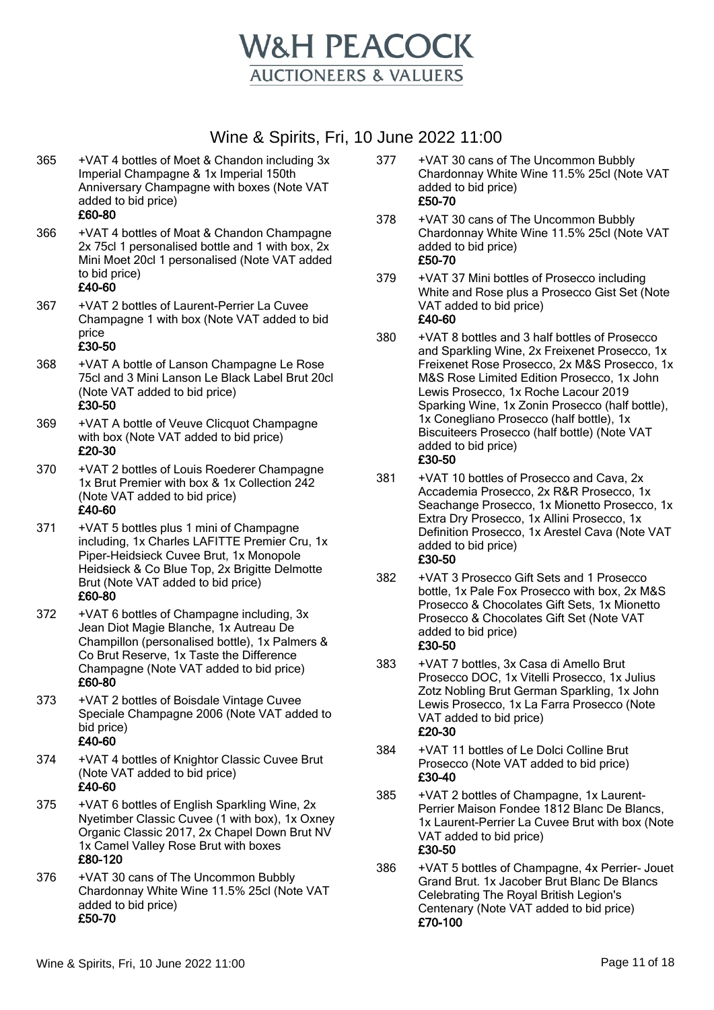

- 365 +VAT 4 bottles of Moet & Chandon including 3x Imperial Champagne & 1x Imperial 150th Anniversary Champagne with boxes (Note VAT added to bid price) £60-80
	-
- 366 +VAT 4 bottles of Moat & Chandon Champagne 2x 75cl 1 personalised bottle and 1 with box, 2x Mini Moet 20cl 1 personalised (Note VAT added to bid price)

#### £40-60

367 +VAT 2 bottles of Laurent-Perrier La Cuvee Champagne 1 with box (Note VAT added to bid price

- 368 +VAT A bottle of Lanson Champagne Le Rose 75cl and 3 Mini Lanson Le Black Label Brut 20cl (Note VAT added to bid price) £30-50
- 369 +VAT A bottle of Veuve Clicquot Champagne with box (Note VAT added to bid price) £20-30
- 370 +VAT 2 bottles of Louis Roederer Champagne 1x Brut Premier with box & 1x Collection 242 (Note VAT added to bid price) £40-60
- 371 +VAT 5 bottles plus 1 mini of Champagne including, 1x Charles LAFITTE Premier Cru, 1x Piper-Heidsieck Cuvee Brut, 1x Monopole Heidsieck & Co Blue Top, 2x Brigitte Delmotte Brut (Note VAT added to bid price) £60-80
- 372 +VAT 6 bottles of Champagne including, 3x Jean Diot Magie Blanche, 1x Autreau De Champillon (personalised bottle), 1x Palmers & Co Brut Reserve, 1x Taste the Difference Champagne (Note VAT added to bid price) £60-80
- 373 +VAT 2 bottles of Boisdale Vintage Cuvee Speciale Champagne 2006 (Note VAT added to bid price) £40-60
- 374 +VAT 4 bottles of Knightor Classic Cuvee Brut (Note VAT added to bid price) £40-60
- 375 +VAT 6 bottles of English Sparkling Wine, 2x Nyetimber Classic Cuvee (1 with box), 1x Oxney Organic Classic 2017, 2x Chapel Down Brut NV 1x Camel Valley Rose Brut with boxes £80-120
- 376 +VAT 30 cans of The Uncommon Bubbly Chardonnay White Wine 11.5% 25cl (Note VAT added to bid price) £50-70
- 377 +VAT 30 cans of The Uncommon Bubbly Chardonnay White Wine 11.5% 25cl (Note VAT added to bid price) £50-70
- 378 +VAT 30 cans of The Uncommon Bubbly Chardonnay White Wine 11.5% 25cl (Note VAT added to bid price) £50-70
- 379 +VAT 37 Mini bottles of Prosecco including White and Rose plus a Prosecco Gist Set (Note VAT added to bid price) £40-60
- 380 +VAT 8 bottles and 3 half bottles of Prosecco and Sparkling Wine, 2x Freixenet Prosecco, 1x Freixenet Rose Prosecco, 2x M&S Prosecco, 1x M&S Rose Limited Edition Prosecco, 1x John Lewis Prosecco, 1x Roche Lacour 2019 Sparking Wine, 1x Zonin Prosecco (half bottle), 1x Conegliano Prosecco (half bottle), 1x Biscuiteers Prosecco (half bottle) (Note VAT added to bid price) £30-50
- 381 +VAT 10 bottles of Prosecco and Cava, 2x Accademia Prosecco, 2x R&R Prosecco, 1x Seachange Prosecco, 1x Mionetto Prosecco, 1x Extra Dry Prosecco, 1x Allini Prosecco, 1x Definition Prosecco, 1x Arestel Cava (Note VAT added to bid price) £30-50
- 382 +VAT 3 Prosecco Gift Sets and 1 Prosecco bottle, 1x Pale Fox Prosecco with box, 2x M&S Prosecco & Chocolates Gift Sets, 1x Mionetto Prosecco & Chocolates Gift Set (Note VAT added to bid price) £30-50
- 383 +VAT 7 bottles, 3x Casa di Amello Brut Prosecco DOC, 1x Vitelli Prosecco, 1x Julius Zotz Nobling Brut German Sparkling, 1x John Lewis Prosecco, 1x La Farra Prosecco (Note VAT added to bid price) £20-30
- 384 +VAT 11 bottles of Le Dolci Colline Brut Prosecco (Note VAT added to bid price) £30-40
- 385 +VAT 2 bottles of Champagne, 1x Laurent-Perrier Maison Fondee 1812 Blanc De Blancs, 1x Laurent-Perrier La Cuvee Brut with box (Note VAT added to bid price) £30-50
- 386 +VAT 5 bottles of Champagne, 4x Perrier- Jouet Grand Brut. 1x Jacober Brut Blanc De Blancs Celebrating The Royal British Legion's Centenary (Note VAT added to bid price) £70-100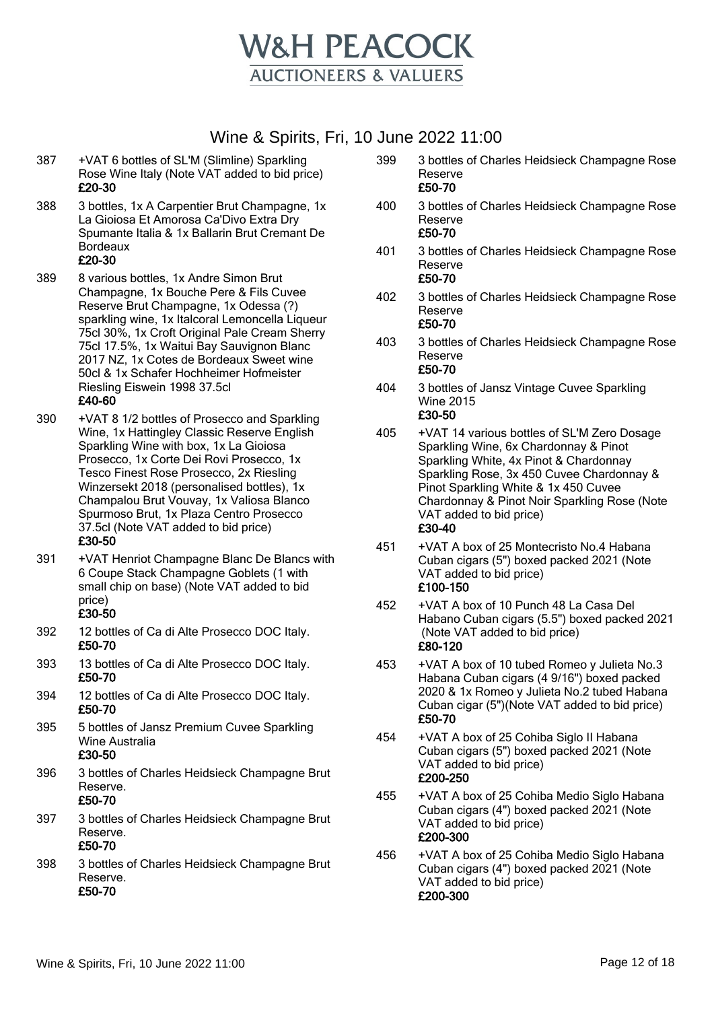

- 387 +VAT 6 bottles of SL'M (Slimline) Sparkling Rose Wine Italy (Note VAT added to bid price) £20-30
- 388 3 bottles, 1x A Carpentier Brut Champagne, 1x La Gioiosa Et Amorosa Ca'Divo Extra Dry Spumante Italia & 1x Ballarin Brut Cremant De Bordeaux £20-30
- 389 8 various bottles, 1x Andre Simon Brut Champagne, 1x Bouche Pere & Fils Cuvee Reserve Brut Champagne, 1x Odessa (?) sparkling wine, 1x Italcoral Lemoncella Liqueur 75cl 30%, 1x Croft Original Pale Cream Sherry 75cl 17.5%, 1x Waitui Bay Sauvignon Blanc 2017 NZ, 1x Cotes de Bordeaux Sweet wine 50cl & 1x Schafer Hochheimer Hofmeister Riesling Eiswein 1998 37.5cl £40-60
- 390 +VAT 8 1/2 bottles of Prosecco and Sparkling
- Wine, 1x Hattingley Classic Reserve English Sparkling Wine with box, 1x La Gioiosa Prosecco, 1x Corte Dei Rovi Prosecco, 1x Tesco Finest Rose Prosecco, 2x Riesling Winzersekt 2018 (personalised bottles), 1x Champalou Brut Vouvay, 1x Valiosa Blanco Spurmoso Brut, 1x Plaza Centro Prosecco 37.5cl (Note VAT added to bid price) £30-50
- 391 +VAT Henriot Champagne Blanc De Blancs with 6 Coupe Stack Champagne Goblets (1 with small chip on base) (Note VAT added to bid price)

- 392 12 bottles of Ca di Alte Prosecco DOC Italy. £50-70
- 393 13 bottles of Ca di Alte Prosecco DOC Italy. £50-70
- 394 12 bottles of Ca di Alte Prosecco DOC Italy. £50-70
- 395 5 bottles of Jansz Premium Cuvee Sparkling Wine Australia £30-50
- 396 3 bottles of Charles Heidsieck Champagne Brut Reserve. £50-70
- 397 3 bottles of Charles Heidsieck Champagne Brut Reserve. £50-70
- 398 3 bottles of Charles Heidsieck Champagne Brut Reserve. £50-70
- 399 3 bottles of Charles Heidsieck Champagne Rose Reserve £50-70
- 400 3 bottles of Charles Heidsieck Champagne Rose Reserve £50-70
- 401 3 bottles of Charles Heidsieck Champagne Rose Reserve £50-70
- 402 3 bottles of Charles Heidsieck Champagne Rose Reserve £50-70
- 403 3 bottles of Charles Heidsieck Champagne Rose Reserve £50-70
- 404 3 bottles of Jansz Vintage Cuvee Sparkling Wine 2015 £30-50
- 405 +VAT 14 various bottles of SL'M Zero Dosage Sparkling Wine, 6x Chardonnay & Pinot Sparkling White, 4x Pinot & Chardonnay Sparkling Rose, 3x 450 Cuvee Chardonnay & Pinot Sparkling White & 1x 450 Cuvee Chardonnay & Pinot Noir Sparkling Rose (Note VAT added to bid price) £30-40
- 451 +VAT A box of 25 Montecristo No.4 Habana Cuban cigars (5") boxed packed 2021 (Note VAT added to bid price) £100-150
- 452 +VAT A box of 10 Punch 48 La Casa Del Habano Cuban cigars (5.5") boxed packed 2021 (Note VAT added to bid price) £80-120
- 453 +VAT A box of 10 tubed Romeo y Julieta No.3 Habana Cuban cigars (4 9/16") boxed packed 2020 & 1x Romeo y Julieta No.2 tubed Habana Cuban cigar (5")(Note VAT added to bid price) £50-70
- 454 +VAT A box of 25 Cohiba Siglo II Habana Cuban cigars (5") boxed packed 2021 (Note VAT added to bid price) £200-250
- 455 +VAT A box of 25 Cohiba Medio Siglo Habana Cuban cigars (4") boxed packed 2021 (Note VAT added to bid price) £200-300
- 456 +VAT A box of 25 Cohiba Medio Siglo Habana Cuban cigars (4") boxed packed 2021 (Note VAT added to bid price) £200-300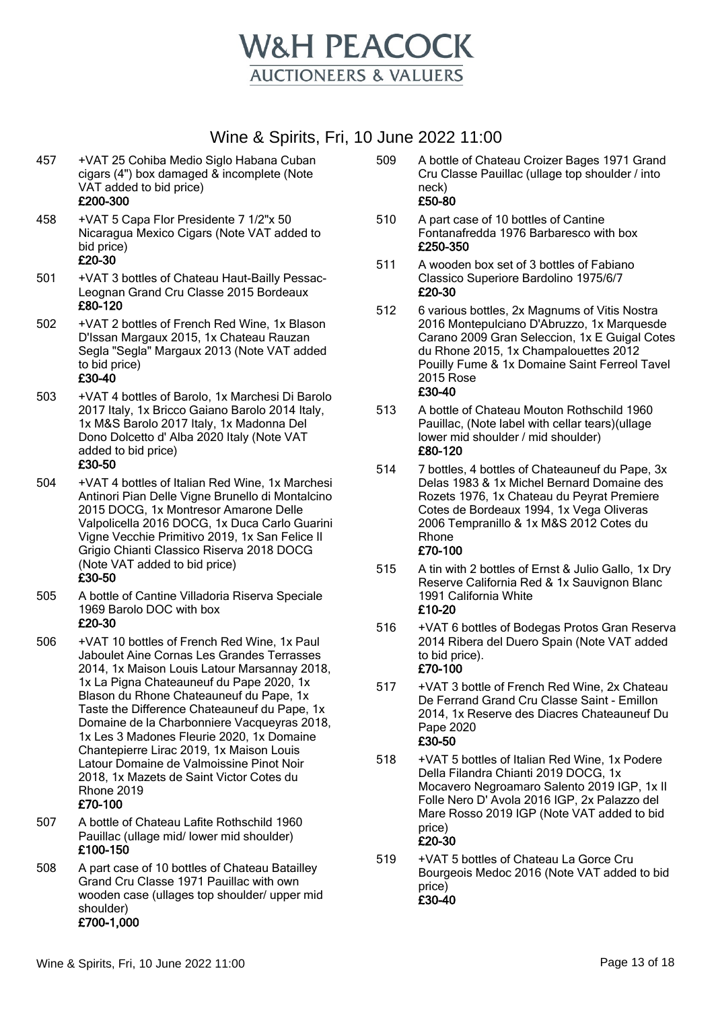

- 457 +VAT 25 Cohiba Medio Siglo Habana Cuban cigars (4") box damaged & incomplete (Note VAT added to bid price) £200-300
- 458 +VAT 5 Capa Flor Presidente 7 1/2"x 50 Nicaragua Mexico Cigars (Note VAT added to bid price) £20-30
- 501 +VAT 3 bottles of Chateau Haut-Bailly Pessac-Leognan Grand Cru Classe 2015 Bordeaux £80-120
- 502 +VAT 2 bottles of French Red Wine, 1x Blason D'Issan Margaux 2015, 1x Chateau Rauzan Segla "Segla" Margaux 2013 (Note VAT added to bid price)

#### £30-40

503 +VAT 4 bottles of Barolo, 1x Marchesi Di Barolo 2017 Italy, 1x Bricco Gaiano Barolo 2014 Italy, 1x M&S Barolo 2017 Italy, 1x Madonna Del Dono Dolcetto d' Alba 2020 Italy (Note VAT added to bid price)

#### £30-50

- 504 +VAT 4 bottles of Italian Red Wine, 1x Marchesi Antinori Pian Delle Vigne Brunello di Montalcino 2015 DOCG, 1x Montresor Amarone Delle Valpolicella 2016 DOCG, 1x Duca Carlo Guarini Vigne Vecchie Primitivo 2019, 1x San Felice Il Grigio Chianti Classico Riserva 2018 DOCG (Note VAT added to bid price) £30-50
- 505 A bottle of Cantine Villadoria Riserva Speciale 1969 Barolo DOC with box

#### £20-30

- 506 +VAT 10 bottles of French Red Wine, 1x Paul Jaboulet Aine Cornas Les Grandes Terrasses 2014, 1x Maison Louis Latour Marsannay 2018, 1x La Pigna Chateauneuf du Pape 2020, 1x Blason du Rhone Chateauneuf du Pape, 1x Taste the Difference Chateauneuf du Pape, 1x Domaine de la Charbonniere Vacqueyras 2018, 1x Les 3 Madones Fleurie 2020, 1x Domaine Chantepierre Lirac 2019, 1x Maison Louis Latour Domaine de Valmoissine Pinot Noir 2018, 1x Mazets de Saint Victor Cotes du Rhone 2019 £70-100
- 507 A bottle of Chateau Lafite Rothschild 1960 Pauillac (ullage mid/ lower mid shoulder) £100-150
- 508 A part case of 10 bottles of Chateau Batailley Grand Cru Classe 1971 Pauillac with own wooden case (ullages top shoulder/ upper mid shoulder) £700-1,000
- 509 A bottle of Chateau Croizer Bages 1971 Grand Cru Classe Pauillac (ullage top shoulder / into neck) £50-80
- 510 A part case of 10 bottles of Cantine Fontanafredda 1976 Barbaresco with box £250-350
- 511 A wooden box set of 3 bottles of Fabiano Classico Superiore Bardolino 1975/6/7 £20-30
- 512 6 various bottles, 2x Magnums of Vitis Nostra 2016 Montepulciano D'Abruzzo, 1x Marquesde Carano 2009 Gran Seleccion, 1x E Guigal Cotes du Rhone 2015, 1x Champalouettes 2012 Pouilly Fume & 1x Domaine Saint Ferreol Tavel 2015 Rose £30-40
- 513 A bottle of Chateau Mouton Rothschild 1960 Pauillac, (Note label with cellar tears)(ullage lower mid shoulder / mid shoulder) £80-120
- 514 7 bottles, 4 bottles of Chateauneuf du Pape, 3x Delas 1983 & 1x Michel Bernard Domaine des Rozets 1976, 1x Chateau du Peyrat Premiere Cotes de Bordeaux 1994, 1x Vega Oliveras 2006 Tempranillo & 1x M&S 2012 Cotes du Rhone £70-100
- 515 A tin with 2 bottles of Ernst & Julio Gallo, 1x Dry Reserve California Red & 1x Sauvignon Blanc 1991 California White £10-20
- 516 +VAT 6 bottles of Bodegas Protos Gran Reserva 2014 Ribera del Duero Spain (Note VAT added to bid price). £70-100
- 517 +VAT 3 bottle of French Red Wine, 2x Chateau De Ferrand Grand Cru Classe Saint - Emillon 2014, 1x Reserve des Diacres Chateauneuf Du Pape 2020 £30-50
- 518 +VAT 5 bottles of Italian Red Wine, 1x Podere Della Filandra Chianti 2019 DOCG, 1x Mocavero Negroamaro Salento 2019 IGP, 1x Il Folle Nero D' Avola 2016 IGP, 2x Palazzo del Mare Rosso 2019 IGP (Note VAT added to bid price) £20-30
- 519 +VAT 5 bottles of Chateau La Gorce Cru Bourgeois Medoc 2016 (Note VAT added to bid price) £30-40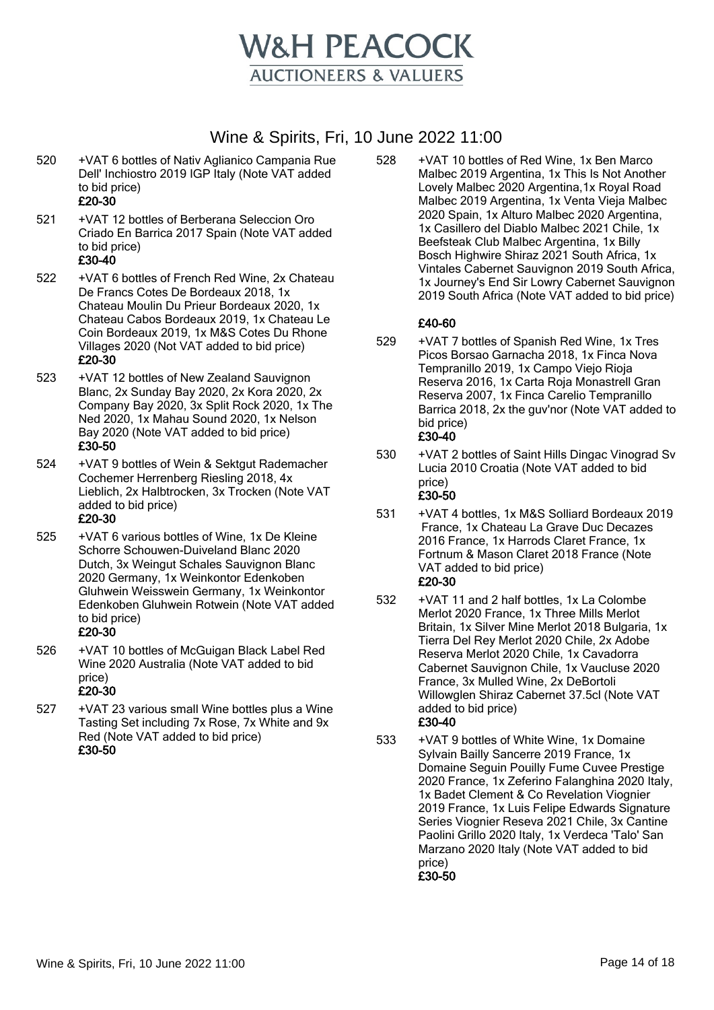

520 +VAT 6 bottles of Nativ Aglianico Campania Rue Dell' Inchiostro 2019 IGP Italy (Note VAT added to bid price)

## £20-30

- 521 +VAT 12 bottles of Berberana Seleccion Oro Criado En Barrica 2017 Spain (Note VAT added to bid price) £30-40
- 522 +VAT 6 bottles of French Red Wine, 2x Chateau De Francs Cotes De Bordeaux 2018, 1x Chateau Moulin Du Prieur Bordeaux 2020, 1x Chateau Cabos Bordeaux 2019, 1x Chateau Le Coin Bordeaux 2019, 1x M&S Cotes Du Rhone Villages 2020 (Not VAT added to bid price) £20-30
- 523 +VAT 12 bottles of New Zealand Sauvignon Blanc, 2x Sunday Bay 2020, 2x Kora 2020, 2x Company Bay 2020, 3x Split Rock 2020, 1x The Ned 2020, 1x Mahau Sound 2020, 1x Nelson Bay 2020 (Note VAT added to bid price) £30-50
- 524 +VAT 9 bottles of Wein & Sektgut Rademacher Cochemer Herrenberg Riesling 2018, 4x Lieblich, 2x Halbtrocken, 3x Trocken (Note VAT added to bid price)

## £20-30

525 +VAT 6 various bottles of Wine, 1x De Kleine Schorre Schouwen-Duiveland Blanc 2020 Dutch, 3x Weingut Schales Sauvignon Blanc 2020 Germany, 1x Weinkontor Edenkoben Gluhwein Weisswein Germany, 1x Weinkontor Edenkoben Gluhwein Rotwein (Note VAT added to bid price)

## £20-30

- 526 +VAT 10 bottles of McGuigan Black Label Red Wine 2020 Australia (Note VAT added to bid price) £20-30
- 527 +VAT 23 various small Wine bottles plus a Wine Tasting Set including 7x Rose, 7x White and 9x Red (Note VAT added to bid price) £30-50

528 +VAT 10 bottles of Red Wine, 1x Ben Marco Malbec 2019 Argentina, 1x This Is Not Another Lovely Malbec 2020 Argentina,1x Royal Road Malbec 2019 Argentina, 1x Venta Vieja Malbec 2020 Spain, 1x Alturo Malbec 2020 Argentina, 1x Casillero del Diablo Malbec 2021 Chile, 1x Beefsteak Club Malbec Argentina, 1x Billy Bosch Highwire Shiraz 2021 South Africa, 1x Vintales Cabernet Sauvignon 2019 South Africa, 1x Journey's End Sir Lowry Cabernet Sauvignon 2019 South Africa (Note VAT added to bid price)

## £40-60

529 +VAT 7 bottles of Spanish Red Wine, 1x Tres Picos Borsao Garnacha 2018, 1x Finca Nova Tempranillo 2019, 1x Campo Viejo Rioja Reserva 2016, 1x Carta Roja Monastrell Gran Reserva 2007, 1x Finca Carelio Tempranillo Barrica 2018, 2x the guv'nor (Note VAT added to bid price) £30-40

# 530 +VAT 2 bottles of Saint Hills Dingac Vinograd Sv

- Lucia 2010 Croatia (Note VAT added to bid price) £30-50
- 531 +VAT 4 bottles, 1x M&S Solliard Bordeaux 2019 France, 1x Chateau La Grave Duc Decazes 2016 France, 1x Harrods Claret France, 1x Fortnum & Mason Claret 2018 France (Note VAT added to bid price) £20-30
- 532 +VAT 11 and 2 half bottles, 1x La Colombe Merlot 2020 France, 1x Three Mills Merlot Britain, 1x Silver Mine Merlot 2018 Bulgaria, 1x Tierra Del Rey Merlot 2020 Chile, 2x Adobe Reserva Merlot 2020 Chile, 1x Cavadorra Cabernet Sauvignon Chile, 1x Vaucluse 2020 France, 3x Mulled Wine, 2x DeBortoli Willowglen Shiraz Cabernet 37.5cl (Note VAT added to bid price) £30-40
- 533 +VAT 9 bottles of White Wine, 1x Domaine Sylvain Bailly Sancerre 2019 France, 1x Domaine Seguin Pouilly Fume Cuvee Prestige 2020 France, 1x Zeferino Falanghina 2020 Italy, 1x Badet Clement & Co Revelation Viognier 2019 France, 1x Luis Felipe Edwards Signature Series Viognier Reseva 2021 Chile, 3x Cantine Paolini Grillo 2020 Italy, 1x Verdeca 'Talo' San Marzano 2020 Italy (Note VAT added to bid price) £30-50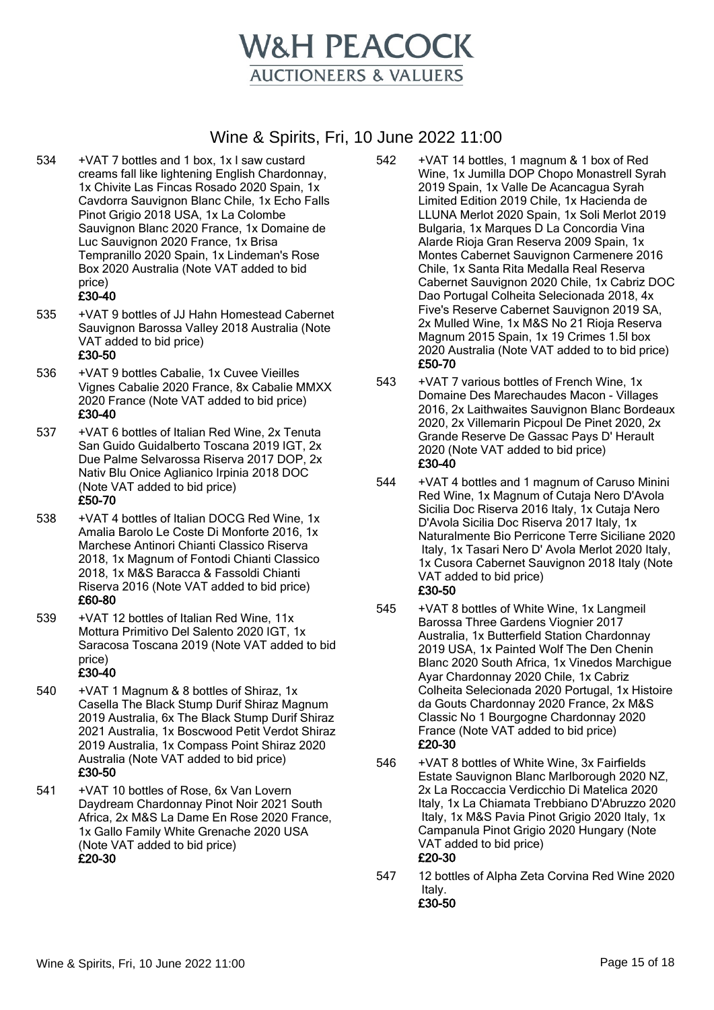

- 534 +VAT 7 bottles and 1 box, 1x I saw custard creams fall like lightening English Chardonnay, 1x Chivite Las Fincas Rosado 2020 Spain, 1x Cavdorra Sauvignon Blanc Chile, 1x Echo Falls Pinot Grigio 2018 USA, 1x La Colombe Sauvignon Blanc 2020 France, 1x Domaine de Luc Sauvignon 2020 France, 1x Brisa Tempranillo 2020 Spain, 1x Lindeman's Rose Box 2020 Australia (Note VAT added to bid price) £30-40
- 535 +VAT 9 bottles of JJ Hahn Homestead Cabernet Sauvignon Barossa Valley 2018 Australia (Note VAT added to bid price)

- 536 +VAT 9 bottles Cabalie, 1x Cuvee Vieilles Vignes Cabalie 2020 France, 8x Cabalie MMXX 2020 France (Note VAT added to bid price) £30-40
- 537 +VAT 6 bottles of Italian Red Wine, 2x Tenuta San Guido Guidalberto Toscana 2019 IGT, 2x Due Palme Selvarossa Riserva 2017 DOP, 2x Nativ Blu Onice Aglianico Irpinia 2018 DOC (Note VAT added to bid price) £50-70
- 538 +VAT 4 bottles of Italian DOCG Red Wine, 1x Amalia Barolo Le Coste Di Monforte 2016, 1x Marchese Antinori Chianti Classico Riserva 2018, 1x Magnum of Fontodi Chianti Classico 2018, 1x M&S Baracca & Fassoldi Chianti Riserva 2016 (Note VAT added to bid price) £60-80
- 539 +VAT 12 bottles of Italian Red Wine, 11x Mottura Primitivo Del Salento 2020 IGT, 1x Saracosa Toscana 2019 (Note VAT added to bid price) £30-40
- 540 +VAT 1 Magnum & 8 bottles of Shiraz, 1x Casella The Black Stump Durif Shiraz Magnum 2019 Australia, 6x The Black Stump Durif Shiraz 2021 Australia, 1x Boscwood Petit Verdot Shiraz 2019 Australia, 1x Compass Point Shiraz 2020 Australia (Note VAT added to bid price) £30-50
- 541 +VAT 10 bottles of Rose, 6x Van Lovern Daydream Chardonnay Pinot Noir 2021 South Africa, 2x M&S La Dame En Rose 2020 France, 1x Gallo Family White Grenache 2020 USA (Note VAT added to bid price) £20-30
- 542 +VAT 14 bottles, 1 magnum & 1 box of Red Wine, 1x Jumilla DOP Chopo Monastrell Syrah 2019 Spain, 1x Valle De Acancagua Syrah Limited Edition 2019 Chile, 1x Hacienda de LLUNA Merlot 2020 Spain, 1x Soli Merlot 2019 Bulgaria, 1x Marques D La Concordia Vina Alarde Rioja Gran Reserva 2009 Spain, 1x Montes Cabernet Sauvignon Carmenere 2016 Chile, 1x Santa Rita Medalla Real Reserva Cabernet Sauvignon 2020 Chile, 1x Cabriz DOC Dao Portugal Colheita Selecionada 2018, 4x Five's Reserve Cabernet Sauvignon 2019 SA, 2x Mulled Wine, 1x M&S No 21 Rioja Reserva Magnum 2015 Spain, 1x 19 Crimes 1.5l box 2020 Australia (Note VAT added to to bid price) £50-70
- 543 +VAT 7 various bottles of French Wine, 1x Domaine Des Marechaudes Macon - Villages 2016, 2x Laithwaites Sauvignon Blanc Bordeaux 2020, 2x Villemarin Picpoul De Pinet 2020, 2x Grande Reserve De Gassac Pays D' Herault 2020 (Note VAT added to bid price) £30-40
- 544 +VAT 4 bottles and 1 magnum of Caruso Minini Red Wine, 1x Magnum of Cutaja Nero D'Avola Sicilia Doc Riserva 2016 Italy, 1x Cutaja Nero D'Avola Sicilia Doc Riserva 2017 Italy, 1x Naturalmente Bio Perricone Terre Siciliane 2020 Italy, 1x Tasari Nero D' Avola Merlot 2020 Italy, 1x Cusora Cabernet Sauvignon 2018 Italy (Note VAT added to bid price) £30-50
- 545 +VAT 8 bottles of White Wine, 1x Langmeil Barossa Three Gardens Viognier 2017 Australia, 1x Butterfield Station Chardonnay 2019 USA, 1x Painted Wolf The Den Chenin Blanc 2020 South Africa, 1x Vinedos Marchigue Ayar Chardonnay 2020 Chile, 1x Cabriz Colheita Selecionada 2020 Portugal, 1x Histoire da Gouts Chardonnay 2020 France, 2x M&S Classic No 1 Bourgogne Chardonnay 2020 France (Note VAT added to bid price) £20-30
- 546 +VAT 8 bottles of White Wine, 3x Fairfields Estate Sauvignon Blanc Marlborough 2020 NZ, 2x La Roccaccia Verdicchio Di Matelica 2020 Italy, 1x La Chiamata Trebbiano D'Abruzzo 2020 Italy, 1x M&S Pavia Pinot Grigio 2020 Italy, 1x Campanula Pinot Grigio 2020 Hungary (Note VAT added to bid price) £20-30
- 547 12 bottles of Alpha Zeta Corvina Red Wine 2020 Italy. £30-50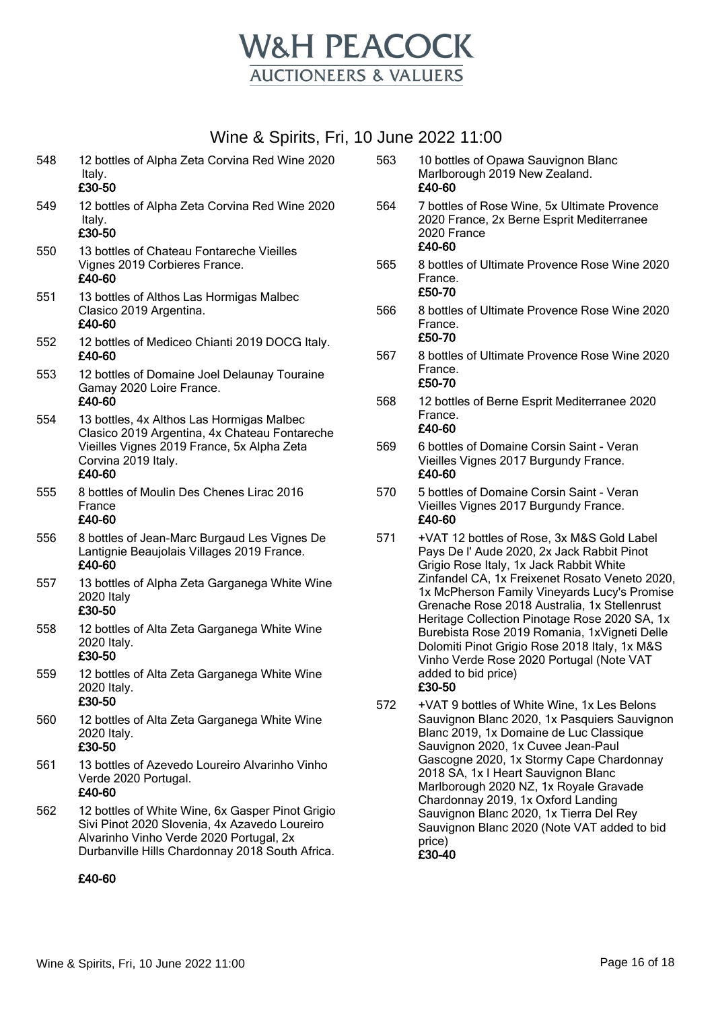

| 549<br>12 bottles of Alpha Zeta Corvina Red Wine 2020<br>Italy.<br>£30-50<br>550<br>13 bottles of Chateau Fontareche Vieilles<br>Vignes 2019 Corbieres France.<br>£40-60<br>551<br>13 bottles of Althos Las Hormigas Malbec<br>Clasico 2019 Argentina.<br>£40-60<br>12 bottles of Mediceo Chianti 2019 DOCG Italy.<br>552<br>£40-60<br>553<br>12 bottles of Domaine Joel Delaunay Touraine<br>Gamay 2020 Loire France.<br>£40-60 |
|----------------------------------------------------------------------------------------------------------------------------------------------------------------------------------------------------------------------------------------------------------------------------------------------------------------------------------------------------------------------------------------------------------------------------------|
|                                                                                                                                                                                                                                                                                                                                                                                                                                  |
|                                                                                                                                                                                                                                                                                                                                                                                                                                  |
|                                                                                                                                                                                                                                                                                                                                                                                                                                  |
|                                                                                                                                                                                                                                                                                                                                                                                                                                  |
|                                                                                                                                                                                                                                                                                                                                                                                                                                  |
| 554<br>13 bottles, 4x Althos Las Hormigas Malbec<br>Clasico 2019 Argentina, 4x Chateau Fontareche<br>Vieilles Vignes 2019 France, 5x Alpha Zeta<br>Corvina 2019 Italy.<br>£40-60                                                                                                                                                                                                                                                 |
| 555<br>8 bottles of Moulin Des Chenes Lirac 2016<br>France<br>£40-60                                                                                                                                                                                                                                                                                                                                                             |
| 556<br>8 bottles of Jean-Marc Burgaud Les Vignes De<br>Lantignie Beaujolais Villages 2019 France.<br>£40-60                                                                                                                                                                                                                                                                                                                      |
| 557<br>13 bottles of Alpha Zeta Garganega White Wine<br><b>2020 Italy</b><br>£30-50                                                                                                                                                                                                                                                                                                                                              |
| 558<br>12 bottles of Alta Zeta Garganega White Wine<br>2020 Italy.<br>£30-50                                                                                                                                                                                                                                                                                                                                                     |
| 559<br>12 bottles of Alta Zeta Garganega White Wine<br>2020 Italy.<br>£30-50                                                                                                                                                                                                                                                                                                                                                     |
| 560<br>12 bottles of Alta Zeta Garganega White Wine<br>2020 Italy.<br>£30-50                                                                                                                                                                                                                                                                                                                                                     |
| 561<br>13 bottles of Azevedo Loureiro Alvarinho Vinho<br>Verde 2020 Portugal.<br>£40-60                                                                                                                                                                                                                                                                                                                                          |
| 562<br>12 bottles of White Wine, 6x Gasper Pinot Grigio<br>Sivi Pinot 2020 Slovenia, 4x Azavedo Loureiro<br>Alvarinho Vinho Verde 2020 Portugal, 2x<br>Durbanville Hills Chardonnay 2018 South Africa.                                                                                                                                                                                                                           |

#### £40-60

| 563 | 10 bottles of Opawa Sauvignon Blanc<br>Marlborough 2019 New Zealand. |
|-----|----------------------------------------------------------------------|
|     | £40-60                                                               |

- 564 7 bottles of Rose Wine, 5x Ultimate Provence 2020 France, 2x Berne Esprit Mediterranee 2020 France £40-60
- 565 8 bottles of Ultimate Provence Rose Wine 2020 France. £50-70

566 8 bottles of Ultimate Provence Rose Wine 2020 France. £50-70

- 567 8 bottles of Ultimate Provence Rose Wine 2020 France. £50-70
- 568 12 bottles of Berne Esprit Mediterranee 2020 France. £40-60
- 569 6 bottles of Domaine Corsin Saint Veran Vieilles Vignes 2017 Burgundy France. £40-60
- 570 5 bottles of Domaine Corsin Saint Veran Vieilles Vignes 2017 Burgundy France. £40-60
- 571 +VAT 12 bottles of Rose, 3x M&S Gold Label Pays De l' Aude 2020, 2x Jack Rabbit Pinot Grigio Rose Italy, 1x Jack Rabbit White Zinfandel CA, 1x Freixenet Rosato Veneto 2020, 1x McPherson Family Vineyards Lucy's Promise Grenache Rose 2018 Australia, 1x Stellenrust Heritage Collection Pinotage Rose 2020 SA, 1x Burebista Rose 2019 Romania, 1xVigneti Delle Dolomiti Pinot Grigio Rose 2018 Italy, 1x M&S Vinho Verde Rose 2020 Portugal (Note VAT added to bid price) £30-50
- 572 +VAT 9 bottles of White Wine, 1x Les Belons Sauvignon Blanc 2020, 1x Pasquiers Sauvignon Blanc 2019, 1x Domaine de Luc Classique Sauvignon 2020, 1x Cuvee Jean-Paul Gascogne 2020, 1x Stormy Cape Chardonnay 2018 SA, 1x I Heart Sauvignon Blanc Marlborough 2020 NZ, 1x Royale Gravade Chardonnay 2019, 1x Oxford Landing Sauvignon Blanc 2020, 1x Tierra Del Rey Sauvignon Blanc 2020 (Note VAT added to bid price) £30-40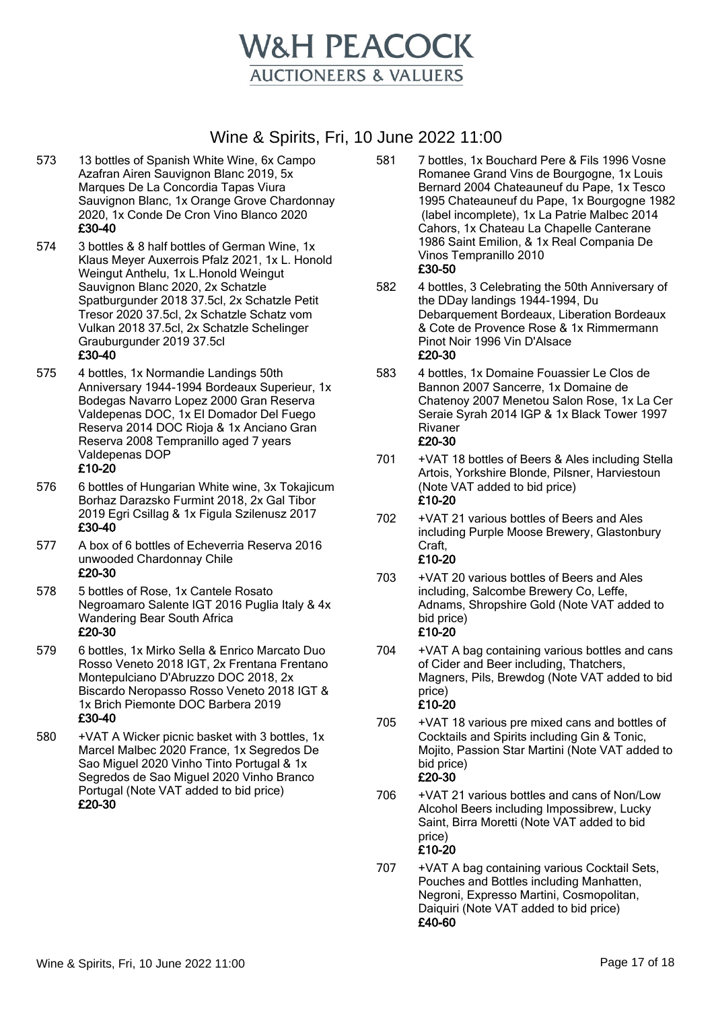

- 573 13 bottles of Spanish White Wine, 6x Campo Azafran Airen Sauvignon Blanc 2019, 5x Marques De La Concordia Tapas Viura Sauvignon Blanc, 1x Orange Grove Chardonnay 2020, 1x Conde De Cron Vino Blanco 2020 £30-40
- 574 3 bottles & 8 half bottles of German Wine, 1x Klaus Meyer Auxerrois Pfalz 2021, 1x L. Honold Weingut Anthelu, 1x L.Honold Weingut Sauvignon Blanc 2020, 2x Schatzle Spatburgunder 2018 37.5cl, 2x Schatzle Petit Tresor 2020 37.5cl, 2x Schatzle Schatz vom Vulkan 2018 37.5cl, 2x Schatzle Schelinger Grauburgunder 2019 37.5cl £30-40
- 575 4 bottles, 1x Normandie Landings 50th Anniversary 1944-1994 Bordeaux Superieur, 1x Bodegas Navarro Lopez 2000 Gran Reserva Valdepenas DOC, 1x El Domador Del Fuego Reserva 2014 DOC Rioja & 1x Anciano Gran Reserva 2008 Tempranillo aged 7 years Valdepenas DOP £10-20
	-
- 576 6 bottles of Hungarian White wine, 3x Tokajicum Borhaz Darazsko Furmint 2018, 2x Gal Tibor 2019 Egri Csillag & 1x Figula Szilenusz 2017 £30-40
- 577 A box of 6 bottles of Echeverria Reserva 2016 unwooded Chardonnay Chile £20-30
- 578 5 bottles of Rose, 1x Cantele Rosato Negroamaro Salente IGT 2016 Puglia Italy & 4x Wandering Bear South Africa £20-30
- 579 6 bottles, 1x Mirko Sella & Enrico Marcato Duo Rosso Veneto 2018 IGT, 2x Frentana Frentano Montepulciano D'Abruzzo DOC 2018, 2x Biscardo Neropasso Rosso Veneto 2018 IGT & 1x Brich Piemonte DOC Barbera 2019 £30-40
- 580 +VAT A Wicker picnic basket with 3 bottles, 1x Marcel Malbec 2020 France, 1x Segredos De Sao Miguel 2020 Vinho Tinto Portugal & 1x Segredos de Sao Miguel 2020 Vinho Branco Portugal (Note VAT added to bid price) £20-30
- 581 7 bottles, 1x Bouchard Pere & Fils 1996 Vosne Romanee Grand Vins de Bourgogne, 1x Louis Bernard 2004 Chateauneuf du Pape, 1x Tesco 1995 Chateauneuf du Pape, 1x Bourgogne 1982 (label incomplete), 1x La Patrie Malbec 2014 Cahors, 1x Chateau La Chapelle Canterane 1986 Saint Emilion, & 1x Real Compania De Vinos Tempranillo 2010 £30-50
- 582 4 bottles, 3 Celebrating the 50th Anniversary of the DDay landings 1944-1994, Du Debarquement Bordeaux, Liberation Bordeaux & Cote de Provence Rose & 1x Rimmermann Pinot Noir 1996 Vin D'Alsace £20-30
- 583 4 bottles, 1x Domaine Fouassier Le Clos de Bannon 2007 Sancerre, 1x Domaine de Chatenoy 2007 Menetou Salon Rose, 1x La Cer Seraie Syrah 2014 IGP & 1x Black Tower 1997 Rivaner £20-30
- 701 +VAT 18 bottles of Beers & Ales including Stella Artois, Yorkshire Blonde, Pilsner, Harviestoun (Note VAT added to bid price) £10-20
- 702 +VAT 21 various bottles of Beers and Ales including Purple Moose Brewery, Glastonbury Craft, £10-20
- 703 +VAT 20 various bottles of Beers and Ales including, Salcombe Brewery Co, Leffe, Adnams, Shropshire Gold (Note VAT added to bid price) £10-20
- 704 +VAT A bag containing various bottles and cans of Cider and Beer including, Thatchers, Magners, Pils, Brewdog (Note VAT added to bid price) £10-20
- 705 +VAT 18 various pre mixed cans and bottles of Cocktails and Spirits including Gin & Tonic, Mojito, Passion Star Martini (Note VAT added to bid price) £20-30
- 706 +VAT 21 various bottles and cans of Non/Low Alcohol Beers including Impossibrew, Lucky Saint, Birra Moretti (Note VAT added to bid price) £10-20
- 707 +VAT A bag containing various Cocktail Sets, Pouches and Bottles including Manhatten, Negroni, Expresso Martini, Cosmopolitan, Daiquiri (Note VAT added to bid price) £40-60